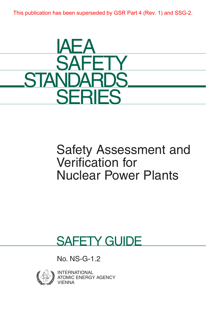

## Safety Assessment and Verification for Nuclear Power Plants

# SAFETY GUIDE

No. NS-G-1.2



NATIONAL **C ENERGY AGENCY** VIENNA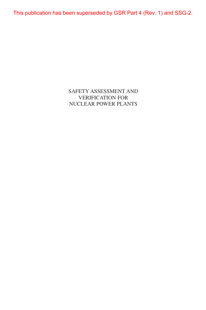SAFETY ASSESSMENT AND VERIFICATION FOR NUCLEAR POWER PLANTS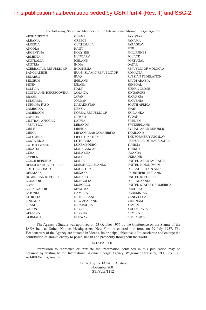AFGHANISTAN ALBANIA ALGERIA ANGOLA ARGENTINA ARMENIA AUSTRALIA AUSTRIA AZERBAIJAN, REPUBLIC OF BANGLADESH BELARUS BELGIUM BENIN BOLIVIA BOSNIA AND HERZEGOVINA JAMAICA BRAZIL BULGARIA BURKINA FASO CAMBODIA CAMEROON CANADA CENTRAL AFRICAN REPUBLIC CHILE **CHINA** COLOMBIA COSTA RICA COTE D'IVOIRE CROATIA CUBA **CYPRUS** CZECH REPUBLIC DEMOCRATIC REPUBLIC OF THE CONGO DENMARK DOMINICAN REPUBLIC ECUADOR EGYPT EL SALVADOR ESTONIA ETHIOPIA FINLAND FRANCE GABON GEORGIA GERMANY GHANA GREECE GUATEMALA HAITI HOLY SEE HUNGARY ICELAND INDIA INDONESIA IRAN, ISLAMIC REPUBLIC OF IRAQ IRELAND ISRAEL ITALY JAPAN JORDAN KAZAKHSTAN KENYA KOREA, REPUBLIC OF KUWAIT LATVIA LEBANON LIBERIA LIBYAN ARAB JAMAHIRIYA LIECHTENSTEIN LITHUANIA LUXEMBOURG MADAGASCAR MALAYSIA MALI MALTA MARSHALL ISLANDS MAURITIUS MEXICO MONACO MONGOLIA MOROCCO MYANMAR NAMIBIA NETHERLANDS NEW ZEALAND NICARAGUA NIGER NIGERIA NORWAY

The following States are Members of the International Atomic Energy Agency:

PAKISTAN

PANAMA PARAGUAY PERU PHILIPPINES POLAND PORTUGAL QATAR REPUBLIC OF MOLDOVA ROMANIA RUSSIAN FEDERATION SAUDI ARABIA SENEGAL SIERRA LEONE SINGAPORE SLOVAKIA SLOVENIA SOUTH AFRICA SPAIN SRI LANKA SUDAN **SWEDEN** SWITZERLAND SYRIAN ARAB REPUBLIC THAIL AND THE FORMER YUGOSLAV REPUBLIC OF MACEDONIA TUNISIA TURKEY UGANDA UKRAINE UNITED ARAB EMIRATES UNITED KINGDOM OF GREAT BRITAIN AND NORTHERN IRELAND UNITED REPUBLIC OF TANZANIA UNITED STATES OF AMERICA URUGUAY UZBEKISTAN VENEZUELA VIET NAM YEMEN YUGOSLAVIA ZAMBIA ZIMBABWE

The Agency's Statute was approved on 23 October 1956 by the Conference on the Statute of the IAEA held at United Nations Headquarters, New York; it entered into force on 29 July 1957. The Headquarters of the Agency are situated in Vienna. Its principal objective is "to accelerate and enlarge the contribution of atomic energy to peace, health and prosperity throughout the world''.

#### © IAEA, 2001

Permission to reproduce or translate the information contained in this publication may be obtained by writing to the International Atomic Energy Agency, Wagramer Strasse 5, P.O. Box 100, A-1400 Vienna, Austria.

> Printed by the IAEA in Austria November 2001 STI/PUB/1112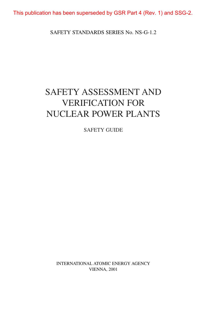SAFETY STANDARDS SERIES No. NS-G-1.2

## SAFETY ASSESSMENT AND VERIFICATION FOR NUCLEAR POWER PLANTS

SAFETY GUIDE

INTERNATIONAL ATOMIC ENERGY AGENCY VIENNA, 2001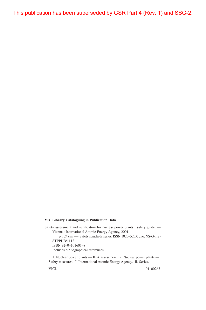#### **VIC Library Cataloguing in Publication Data**

Safety assessment and verification for nuclear power plants : safety guide. — Vienna : International Atomic Energy Agency, 2001. p. ; 24 cm. — (Safety standards series, ISSN 1020–525X ; no. NS-G-1.2) STI/PUB/1112 ISBN 92–0–101601–8 Includes bibliographical references.

1. Nuclear power plants — Risk assessment. 2. Nuclear power plants — Safety measures. I. International Atomic Energy Agency. II. Series.

VICL 01–00267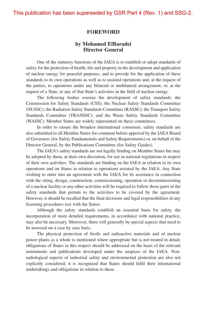#### **FOREWORD**

#### **by Mohamed ElBaradei Director General**

One of the statutory functions of the IAEA is to establish or adopt standards of safety for the protection of health, life and property in the development and application of nuclear energy for peaceful purposes, and to provide for the application of these standards to its own operations as well as to assisted operations and, at the request of the parties, to operations under any bilateral or multilateral arrangement, or, at the request of a State, to any of that State's activities in the field of nuclear energy.

The following bodies oversee the development of safety standards: the Commission for Safety Standards (CSS); the Nuclear Safety Standards Committee (NUSSC); the Radiation Safety Standards Committee (RASSC); the Transport Safety Standards Committee (TRANSSC); and the Waste Safety Standards Committee (WASSC). Member States are widely represented on these committees.

In order to ensure the broadest international consensus, safety standards are also submitted to all Member States for comment before approval by the IAEA Board of Governors (for Safety Fundamentals and Safety Requirements) or, on behalf of the Director General, by the Publications Committee (for Safety Guides).

The IAEA's safety standards are not legally binding on Member States but may be adopted by them, at their own discretion, for use in national regulations in respect of their own activities. The standards are binding on the IAEA in relation to its own operations and on States in relation to operations assisted by the IAEA. Any State wishing to enter into an agreement with the IAEA for its assistance in connection with the siting, design, construction, commissioning, operation or decommissioning of a nuclear facility or any other activities will be required to follow those parts of the safety standards that pertain to the activities to be covered by the agreement. However, it should be recalled that the final decisions and legal responsibilities in any licensing procedures rest with the States.

Although the safety standards establish an essential basis for safety, the incorporation of more detailed requirements, in accordance with national practice, may also be necessary. Moreover, there will generally be special aspects that need to be assessed on a case by case basis.

The physical protection of fissile and radioactive materials and of nuclear power plants as a whole is mentioned where appropriate but is not treated in detail; obligations of States in this respect should be addressed on the basis of the relevant instruments and publications developed under the auspices of the IAEA. Nonradiological aspects of industrial safety and environmental protection are also not explicitly considered; it is recognized that States should fulfil their international undertakings and obligations in relation to these.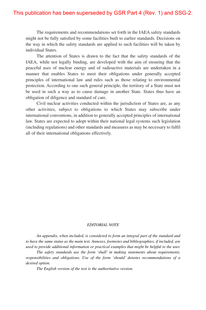The requirements and recommendations set forth in the IAEA safety standards might not be fully satisfied by some facilities built to earlier standards. Decisions on the way in which the safety standards are applied to such facilities will be taken by individual States.

The attention of States is drawn to the fact that the safety standards of the IAEA, while not legally binding, are developed with the aim of ensuring that the peaceful uses of nuclear energy and of radioactive materials are undertaken in a manner that enables States to meet their obligations under generally accepted principles of international law and rules such as those relating to environmental protection. According to one such general principle, the territory of a State must not be used in such a way as to cause damage in another State. States thus have an obligation of diligence and standard of care.

Civil nuclear activities conducted within the jurisdiction of States are, as any other activities, subject to obligations to which States may subscribe under international conventions, in addition to generally accepted principles of international law. States are expected to adopt within their national legal systems such legislation (including regulations) and other standards and measures as may be necessary to fulfil all of their international obligations effectively.

#### *EDITORIAL NOTE*

*An appendix, when included, is considered to form an integral part of the standard and to have the same status as the main text. Annexes, footnotes and bibliographies, if included, are used to provide additional information or practical examples that might be helpful to the user.*

*The safety standards use the form 'shall' in making statements about requirements, responsibilities and obligations. Use of the form 'should' denotes recommendations of a desired option.*

*The English version of the text is the authoritative version.*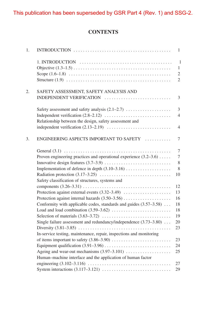## **CONTENTS**

| 1. |                                                                                                                                                                                                                                                                                 | $\mathbf{1}$                                                     |
|----|---------------------------------------------------------------------------------------------------------------------------------------------------------------------------------------------------------------------------------------------------------------------------------|------------------------------------------------------------------|
|    |                                                                                                                                                                                                                                                                                 | $\mathbf{1}$<br>$\mathbf{1}$<br>$\overline{c}$<br>$\overline{2}$ |
| 2. | SAFETY ASSESSMENT, SAFETY ANALYSIS AND<br>INDEPENDENT VERIFICATION                                                                                                                                                                                                              | 3                                                                |
|    | Relationship between the design, safety assessment and                                                                                                                                                                                                                          | $\overline{3}$<br>$\overline{4}$                                 |
|    |                                                                                                                                                                                                                                                                                 | $\overline{4}$                                                   |
| 3. | ENGINEERING ASPECTS IMPORTANT TO SAFETY                                                                                                                                                                                                                                         | $\boldsymbol{7}$                                                 |
|    | Proven engineering practices and operational experience $(3.2-3.6)$<br>Safety classification of structures, systems and                                                                                                                                                         | $\tau$<br>$\overline{7}$<br>8<br>8<br>10                         |
|    | Conformity with applicable codes, standards and guides $(3.57-3.58)$<br>Single failure assessment and redundancy/independence (3.73–3.80)<br>In-service testing, maintenance, repair, inspections and monitoring<br>Human-machine interface and the application of human factor | 12<br>13<br>16<br>18<br>18<br>19<br>20<br>23<br>23<br>24<br>25   |
|    |                                                                                                                                                                                                                                                                                 | 27<br>29                                                         |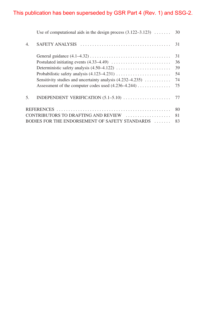|                                                      | Use of computational aids in the design process $(3.122-3.123)$ | 30 |  |  |
|------------------------------------------------------|-----------------------------------------------------------------|----|--|--|
| 4.                                                   | <b>SAFETY ANALYSIS</b>                                          | 31 |  |  |
|                                                      |                                                                 | 31 |  |  |
|                                                      |                                                                 | 36 |  |  |
|                                                      |                                                                 | 39 |  |  |
|                                                      |                                                                 | 54 |  |  |
|                                                      | Sensitivity studies and uncertainty analysis $(4.232-4.235)$    | 74 |  |  |
|                                                      | Assessment of the computer codes used (4.236–4.244)             | 75 |  |  |
| 5.                                                   |                                                                 | 77 |  |  |
|                                                      |                                                                 | 80 |  |  |
| CONTRIBUTORS TO DRAFTING AND REVIEW                  |                                                                 |    |  |  |
| BODIES FOR THE ENDORSEMENT OF SAFETY STANDARDS<br>83 |                                                                 |    |  |  |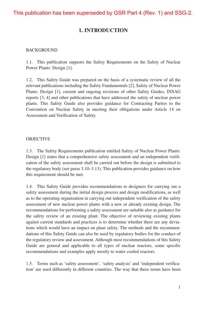## **1. INTRODUCTION**

#### BACKGROUND

1.1. This publication supports the Safety Requirements on the Safety of Nuclear Power Plants: Design [1].

1.2. This Safety Guide was prepared on the basis of a systematic review of all the relevant publications including the Safety Fundamentals [2], Safety of Nuclear Power Plants: Design [1], current and ongoing revisions of other Safety Guides, INSAG reports [3, 4] and other publications that have addressed the safety of nuclear power plants. This Safety Guide also provides guidance for Contracting Parties to the Convention on Nuclear Safety in meeting their obligations under Article 14 on Assessment and Verification of Safety.

#### OBJECTIVE

1.3. The Safety Requirements publication entitled Safety of Nuclear Power Plants: Design [1] states that a comprehensive safety assessment and an independent verification of the safety assessment shall be carried out before the design is submitted to the regulatory body (see paras 3.10–3.13). This publication provides guidance on how this requirement should be met.

1.4. This Safety Guide provides recommendations to designers for carrying out a safety assessment during the initial design process and design modifications, as well as to the operating organization in carrying out independent verification of the safety assessment of new nuclear power plants with a new or already existing design. The recommendations for performing a safety assessment are suitable also as guidance for the safety review of an existing plant. The objective of reviewing existing plants against current standards and practices is to determine whether there are any deviations which would have an impact on plant safety. The methods and the recommendations of this Safety Guide can also be used by regulatory bodies for the conduct of the regulatory review and assessment. Although most recommendations of this Safety Guide are general and applicable to all types of nuclear reactors, some specific recommendations and examples apply mostly to water cooled reactors.

1.5. Terms such as 'safety assessment', 'safety analysis' and 'independent verification' are used differently in different countries. The way that these terms have been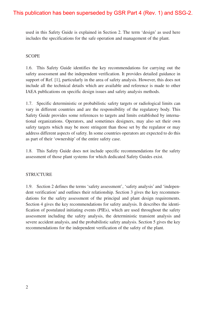used in this Safety Guide is explained in Section 2. The term 'design' as used here includes the specifications for the safe operation and management of the plant.

#### **SCOPE**

1.6. This Safety Guide identifies the key recommendations for carrying out the safety assessment and the independent verification. It provides detailed guidance in support of Ref. [1], particularly in the area of safety analysis. However, this does not include all the technical details which are available and reference is made to other IAEA publications on specific design issues and safety analysis methods.

1.7. Specific deterministic or probabilistic safety targets or radiological limits can vary in different countries and are the responsibility of the regulatory body. This Safety Guide provides some references to targets and limits established by international organizations. Operators, and sometimes designers, may also set their own safety targets which may be more stringent than those set by the regulator or may address different aspects of safety. In some countries operators are expected to do this as part of their 'ownership' of the entire safety case.

1.8. This Safety Guide does not include specific recommendations for the safety assessment of those plant systems for which dedicated Safety Guides exist.

#### STRUCTURE

1.9. Section 2 defines the terms 'safety assessment', 'safety analysis' and 'independent verification' and outlines their relationship. Section 3 gives the key recommendations for the safety assessment of the principal and plant design requirements. Section 4 gives the key recommendations for safety analysis. It describes the identification of postulated initiating events (PIEs), which are used throughout the safety assessment including the safety analysis, the deterministic transient analysis and severe accident analysis, and the probabilistic safety analysis. Section 5 gives the key recommendations for the independent verification of the safety of the plant.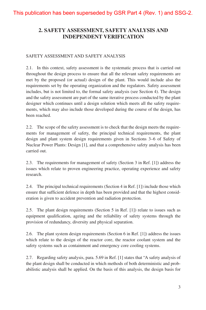## **2. SAFETY ASSESSMENT, SAFETY ANALYSIS AND INDEPENDENT VERIFICATION**

#### SAFETY ASSESSMENT AND SAFETY ANALYSIS

2.1. In this context, safety assessment is the systematic process that is carried out throughout the design process to ensure that all the relevant safety requirements are met by the proposed (or actual) design of the plant. This would include also the requirements set by the operating organization and the regulators. Safety assessment includes, but is not limited to, the formal safety analysis (see Section 4). The design and the safety assessment are part of the same iterative process conducted by the plant designer which continues until a design solution which meets all the safety requirements, which may also include those developed during the course of the design, has been reached.

2.2. The scope of the safety assessment is to check that the design meets the requirements for management of safety, the principal technical requirements, the plant design and plant system design requirements given in Sections 3–6 of Safety of Nuclear Power Plants: Design [1], and that a comprehensive safety analysis has been carried out.

2.3. The requirements for management of safety (Section 3 in Ref. [1]) address the issues which relate to proven engineering practice, operating experience and safety research.

2.4. The principal technical requirements (Section 4 in Ref. [1]) include those which ensure that sufficient defence in depth has been provided and that the highest consideration is given to accident prevention and radiation protection.

2.5. The plant design requirements (Section 5 in Ref. [1]) relate to issues such as equipment qualification, ageing and the reliability of safety systems through the provision of redundancy, diversity and physical separation.

2.6. The plant system design requirements (Section 6 in Ref. [1]) address the issues which relate to the design of the reactor core, the reactor coolant system and the safety systems such as containment and emergency core cooling systems.

2.7. Regarding safety analysis, para. 5.69 in Ref. [1] states that "A safety analysis of the plant design shall be conducted in which methods of both deterministic and probabilistic analysis shall be applied. On the basis of this analysis, the design basis for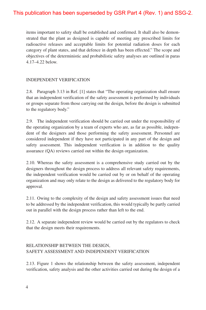items important to safety shall be established and confirmed. It shall also be demonstrated that the plant as designed is capable of meeting any prescribed limits for radioactive releases and acceptable limits for potential radiation doses for each category of plant states, and that defence in depth has been effected." The scope and objectives of the deterministic and probabilistic safety analyses are outlined in paras 4.17–4.22 below.

#### INDEPENDENT VERIFICATION

2.8. Paragraph 3.13 in Ref. [1] states that "The operating organization shall ensure that an independent verification of the safety assessment is performed by individuals or groups separate from those carrying out the design, before the design is submitted to the regulatory body."

2.9. The independent verification should be carried out under the responsibility of the operating organization by a team of experts who are, as far as possible, independent of the designers and those performing the safety assessment. Personnel are considered independent if they have not participated in any part of the design and safety assessment. This independent verification is in addition to the quality assurance (QA) reviews carried out within the design organization.

2.10. Whereas the safety assessment is a comprehensive study carried out by the designers throughout the design process to address all relevant safety requirements, the independent verification would be carried out by or on behalf of the operating organization and may only relate to the design as delivered to the regulatory body for approval.

2.11. Owing to the complexity of the design and safety assessment issues that need to be addressed by the independent verification, this would typically be partly carried out in parallel with the design process rather than left to the end.

2.12. A separate independent review would be carried out by the regulators to check that the design meets their requirements.

#### RELATIONSHIP BETWEEN THE DESIGN, SAFETY ASSESSMENT AND INDEPENDENT VERIFICATION

2.13. Figure 1 shows the relationship between the safety assessment, independent verification, safety analysis and the other activities carried out during the design of a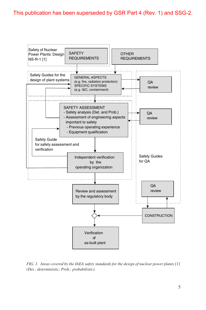

*FIG. 1. Areas covered by the IAEA safety standards for the design of nuclear power plants [1] (Det.: deterministic; Prob.: probabilistic).*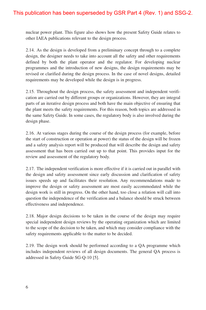nuclear power plant. This figure also shows how the present Safety Guide relates to other IAEA publications relevant to the design process.

2.14. As the design is developed from a preliminary concept through to a complete design, the designer needs to take into account all the safety and other requirements defined by both the plant operator and the regulator. For developing nuclear programmes and the introduction of new designs, the design requirements may be revised or clarified during the design process. In the case of novel designs, detailed requirements may be developed while the design is in progress.

2.15. Throughout the design process, the safety assessment and independent verification are carried out by different groups or organizations. However, they are integral parts of an iterative design process and both have the main objective of ensuring that the plant meets the safety requirements. For this reason, both topics are addressed in the same Safety Guide. In some cases, the regulatory body is also involved during the design phase.

2.16. At various stages during the course of the design process (for example, before the start of construction or operation at power) the status of the design will be frozen and a safety analysis report will be produced that will describe the design and safety assessment that has been carried out up to that point. This provides input for the review and assessment of the regulatory body.

2.17. The independent verification is more effective if it is carried out in parallel with the design and safety assessment since early discussion and clarification of safety issues speeds up and facilitates their resolution. Any recommendations made to improve the design or safety assessment are most easily accommodated while the design work is still in progress. On the other hand, too close a relation will call into question the independence of the verification and a balance should be struck between effectiveness and independence.

2.18. Major design decisions to be taken in the course of the design may require special independent design reviews by the operating organization which are limited to the scope of the decision to be taken, and which may consider compliance with the safety requirements applicable to the matter to be decided.

2.19. The design work should be performed according to a QA programme which includes independent reviews of all design documents. The general QA process is addressed in Safety Guide SG-Q-10 [5].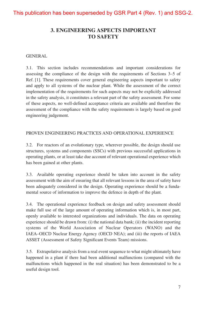## **3. ENGINEERING ASPECTS IMPORTANT TO SAFETY**

#### GENERAL

3.1. This section includes recommendations and important considerations for assessing the compliance of the design with the requirements of Sections 3–5 of Ref. [1]. These requirements cover general engineering aspects important to safety and apply to all systems of the nuclear plant. While the assessment of the correct implementation of the requirements for such aspects may not be explicitly addressed in the safety analysis, it constitutes a relevant part of the safety assessment. For some of these aspects, no well-defined acceptance criteria are available and therefore the assessment of the compliance with the safety requirements is largely based on good engineering judgement.

#### PROVEN ENGINEERING PRACTICES AND OPERATIONAL EXPERIENCE

3.2. For reactors of an evolutionary type, wherever possible, the design should use structures, systems and components (SSCs) with previous successful applications in operating plants, or at least take due account of relevant operational experience which has been gained at other plants.

3.3. Available operating experience should be taken into account in the safety assessment with the aim of ensuring that all relevant lessons in the area of safety have been adequately considered in the design. Operating experience should be a fundamental source of information to improve the defence in depth of the plant.

3.4. The operational experience feedback on design and safety assessment should make full use of the large amount of operating information which is, in most part, openly available to interested organizations and individuals. The data on operating experience should be drawn from: (i) the national data bank; (ii) the incident reporting systems of the World Association of Nuclear Operators (WANO) and the IAEA–OECD Nuclear Energy Agency (OECD NEA); and (iii) the reports of IAEA ASSET (Assessment of Safety Significant Events Team) missions.

3.5. Extrapolative analysis from a real event sequence to what might ultimately have happened in a plant if there had been additional malfunctions (compared with the malfunctions which happened in the real situation) has been demonstrated to be a useful design tool.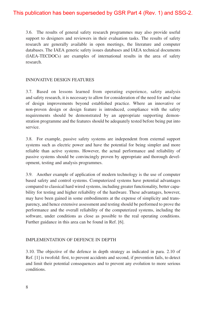3.6. The results of general safety research programmes may also provide useful support to designers and reviewers in their evaluation tasks. The results of safety research are generally available in open meetings, the literature and computer databases. The IAEA generic safety issues databases and IAEA technical documents (IAEA-TECDOCs) are examples of international results in the area of safety research.

#### INNOVATIVE DESIGN FEATURES

3.7. Based on lessons learned from operating experience, safety analysis and safety research, it is necessary to allow for consideration of the need for and value of design improvements beyond established practice. Where an innovative or non-proven design or design feature is introduced, compliance with the safety requirements should be demonstrated by an appropriate supporting demonstration programme and the features should be adequately tested before being put into service.

3.8. For example, passive safety systems are independent from external support systems such as electric power and have the potential for being simpler and more reliable than active systems. However, the actual performance and reliability of passive systems should be convincingly proven by appropriate and thorough development, testing and analysis programmes.

3.9. Another example of application of modern technology is the use of computer based safety and control systems. Computerized systems have potential advantages compared to classical hard wired systems, including greater functionality, better capability for testing and higher reliability of the hardware. These advantages, however, may have been gained in some embodiments at the expense of simplicity and transparency, and hence extensive assessment and testing should be performed to prove the performance and the overall reliability of the computerized systems, including the software, under conditions as close as possible to the real operating conditions. Further guidance in this area can be found in Ref. [6].

#### IMPLEMENTATION OF DEFENCE IN DEPTH

3.10. The objective of the defence in depth strategy as indicated in para. 2.10 of Ref. [1] is twofold: first, to prevent accidents and second, if prevention fails, to detect and limit their potential consequences and to prevent any evolution to more serious conditions.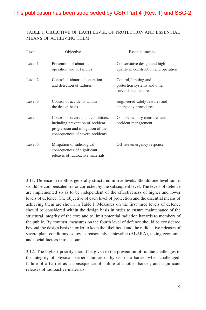#### TABLE I. OBJECTIVE OF EACH LEVEL OF PROTECTION AND ESSENTIAL MEANS OF ACHIEVING THEM

| Level   | Objective                                                                                                                                        | <b>Essential means</b>                                                         |
|---------|--------------------------------------------------------------------------------------------------------------------------------------------------|--------------------------------------------------------------------------------|
| Level 1 | Prevention of abnormal<br>operation and of failures                                                                                              | Conservative design and high<br>quality in construction and operation          |
| Level 2 | Control of abnormal operation<br>and detection of failures                                                                                       | Control, limiting and<br>protection systems and other<br>surveillance features |
| Level 3 | Control of accidents within<br>the design basis                                                                                                  | Engineered safety features and<br>emergency procedures                         |
| Level 4 | Control of severe plant conditions,<br>including prevention of accident<br>progression and mitigation of the<br>consequences of severe accidents | Complementary measures and<br>accident management                              |
| Level 5 | Mitigation of radiological<br>consequences of significant<br>releases of radioactive materials                                                   | Off-site emergency response                                                    |

3.11. Defence in depth is generally structured in five levels. Should one level fail, it would be compensated for or corrected by the subsequent level. The levels of defence are implemented so as to be independent of the effectiveness of higher and lower levels of defence. The objective of each level of protection and the essential means of achieving them are shown in Table I. Measures on the first three levels of defence should be considered within the design basis in order to ensure maintenance of the structural integrity of the core and to limit potential radiation hazards to members of the public. By contrast, measures on the fourth level of defence should be considered beyond the design basis in order to keep the likelihood and the radioactive releases of severe plant conditions as low as reasonably achievable (ALARA), taking economic and social factors into account.

3.12. The highest priority should be given to the prevention of: undue challenges to the integrity of physical barriers; failure or bypass of a barrier when challenged; failure of a barrier as a consequence of failure of another barrier; and significant releases of radioactive materials.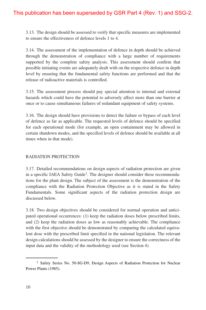3.13. The design should be assessed to verify that specific measures are implemented to ensure the effectiveness of defence levels 1 to 4.

3.14. The assessment of the implementation of defence in depth should be achieved through the demonstration of compliance with a large number of requirements supported by the complete safety analysis. This assessment should confirm that possible initiating events are adequately dealt with on the respective defence in depth level by ensuring that the fundamental safety functions are performed and that the release of radioactive materials is controlled.

3.15. The assessment process should pay special attention to internal and external hazards which could have the potential to adversely affect more than one barrier at once or to cause simultaneous failures of redundant equipment of safety systems.

3.16. The design should have provisions to detect the failure or bypass of each level of defence as far as applicable. The requested levels of defence should be specified for each operational mode (for example, an open containment may be allowed in certain shutdown modes, and the specified levels of defence should be available at all times when in that mode).

#### RADIATION PROTECTION

3.17. Detailed recommendations on design aspects of radiation protection are given in a specific IAEA Safety Guide<sup>1</sup>. The designer should consider these recommendations for the plant design. The subject of the assessment is the demonstration of the compliance with the Radiation Protection Objective as it is stated in the Safety Fundamentals. Some significant aspects of the radiation protection design are discussed below.

3.18. Two design objectives should be considered for normal operation and anticipated operational occurrences: (1) keep the radiation doses below prescribed limits, and (2) keep the radiation doses as low as reasonably achievable. The compliance with the first objective should be demonstrated by comparing the calculated equivalent dose with the prescribed limit specified in the national legislation. The relevant design calculations should be assessed by the designer to ensure the correctness of the input data and the validity of the methodology used (see Section 4).

<sup>&</sup>lt;sup>1</sup> Safety Series No. 50-SG-D9, Design Aspects of Radiation Protection for Nuclear Power Plants (1985).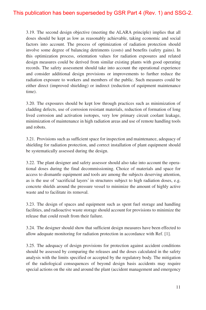3.19. The second design objective (meeting the ALARA principle) implies that all doses should be kept as low as reasonably achievable, taking economic and social factors into account. The process of optimization of radiation protection should involve some degree of balancing detriments (costs) and benefits (safety gains). In this optimization process, orientation values for radiation exposures and related design measures could be derived from similar existing plants with good operating records. The safety assessment should take into account the operational experience and consider additional design provisions or improvements to further reduce the radiation exposure to workers and members of the public. Such measures could be either direct (improved shielding) or indirect (reduction of equipment maintenance time).

3.20. The exposures should be kept low through practices such as minimization of cladding defects, use of corrosion resistant materials, reduction of formation of long lived corrosion and activation isotopes, very low primary circuit coolant leakage, minimization of maintenance in high radiation areas and use of remote handling tools and robots.

3.21. Provisions such as sufficient space for inspection and maintenance, adequacy of shielding for radiation protection, and correct installation of plant equipment should be systematically assessed during the design.

3.22. The plant designer and safety assessor should also take into account the operational doses during the final decommissioning. Choice of materials and space for access to dismantle equipment and tools are among the subjects deserving attention, as is the use of 'sacrificial layers' in structures subject to high radiation doses, e.g. concrete shields around the pressure vessel to minimize the amount of highly active waste and to facilitate its removal.

3.23. The design of spaces and equipment such as spent fuel storage and handling facilities, and radioactive waste storage should account for provisions to minimize the release that could result from their failure.

3.24. The designer should show that sufficient design measures have been effected to allow adequate monitoring for radiation protection in accordance with Ref. [1].

3.25. The adequacy of design provisions for protection against accident conditions should be assessed by comparing the releases and the doses calculated in the safety analysis with the limits specified or accepted by the regulatory body. The mitigation of the radiological consequences of beyond design basis accidents may require special actions on the site and around the plant (accident management and emergency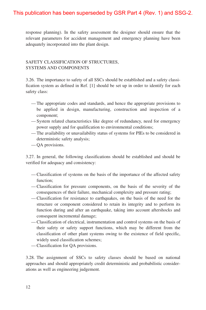response planning). In the safety assessment the designer should ensure that the relevant parameters for accident management and emergency planning have been adequately incorporated into the plant design.

#### SAFETY CLASSIFICATION OF STRUCTURES, SYSTEMS AND COMPONENTS

3.26. The importance to safety of all SSCs should be established and a safety classification system as defined in Ref. [1] should be set up in order to identify for each safety class:

- The appropriate codes and standards, and hence the appropriate provisions to be applied in design, manufacturing, construction and inspection of a component;
- System related characteristics like degree of redundancy, need for emergency power supply and for qualification to environmental conditions;
- The availability or unavailability status of systems for PIEs to be considered in deterministic safety analysis;
- QA provisions.

3.27. In general, the following classifications should be established and should be verified for adequacy and consistency:

- Classification of systems on the basis of the importance of the affected safety function;
- Classification for pressure components, on the basis of the severity of the consequences of their failure, mechanical complexity and pressure rating;
- Classification for resistance to earthquakes, on the basis of the need for the structure or component considered to retain its integrity and to perform its function during and after an earthquake, taking into account aftershocks and consequent incremental damage;
- Classification of electrical, instrumentation and control systems on the basis of their safety or safety support functions, which may be different from the classification of other plant systems owing to the existence of field specific, widely used classification schemes;
- Classification for QA provisions.

3.28. The assignment of SSCs to safety classes should be based on national approaches and should appropriately credit deterministic and probabilistic considerations as well as engineering judgement.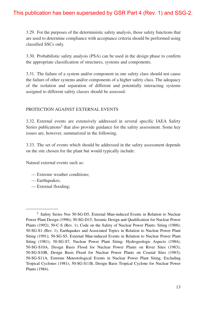3.29. For the purposes of the deterministic safety analysis, those safety functions that are used to determine compliance with acceptance criteria should be performed using classified SSCs only.

3.30. Probabilistic safety analysis (PSA) can be used in the design phase to confirm the appropriate classification of structures, systems and components.

3.31. The failure of a system and/or component in one safety class should not cause the failure of other systems and/or components of a higher safety class. The adequacy of the isolation and separation of different and potentially interacting systems assigned to different safety classes should be assessed.

#### PROTECTION AGAINST EXTERNAL EVENTS

3.32. External events are extensively addressed in several specific IAEA Safety Series publications<sup>2</sup> that also provide guidance for the safety assessment. Some key issues are, however, summarized in the following.

3.33. The set of events which should be addressed in the safety assessment depends on the site chosen for the plant but would typically include:

Natural external events such as:

- Extreme weather conditions;
- Earthquakes;
- External flooding;

<sup>2</sup> Safety Series Nos 50-SG-D5, External Man-induced Events in Relation to Nuclear Power Plant Design (1996); 50-SG-D15, Seismic Design and Qualification for Nuclear Power Plants (1992); 50-C-S (Rev. 1), Code on the Safety of Nuclear Power Plants: Siting (1988); 50-SG-S1 (Rev. 1), Earthquakes and Associated Topics in Relation to Nuclear Power Plant Siting (1991); 50-SG-S5, External Man-induced Events in Relation to Nuclear Power Plant Siting (1981); 50-SG-S7, Nuclear Power Plant Siting: Hydrogeologic Aspects (1984); 50-SG-S10A, Design Basis Flood for Nuclear Power Plants on River Sites (1983); 50-SG-S10B, Design Basis Flood for Nuclear Power Plants on Coastal Sites (1983); 50-SG-S11A, Extreme Meteorological Events in Nuclear Power Plant Siting, Excluding Tropical Cyclones (1981); 50-SG-S11B, Design Basis Tropical Cyclone for Nuclear Power Plants (1984).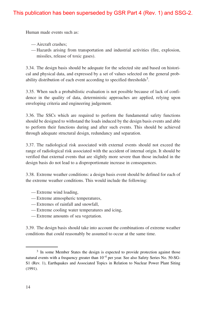Human made events such as:

— Aircraft crashes;

— Hazards arising from transportation and industrial activities (fire, explosion, missiles, release of toxic gases).

3.34. The design basis should be adequate for the selected site and based on historical and physical data, and expressed by a set of values selected on the general probability distribution of each event according to specified thresholds<sup>3</sup>.

3.35. When such a probabilistic evaluation is not possible because of lack of confidence in the quality of data, deterministic approaches are applied, relying upon enveloping criteria and engineering judgement.

3.36. The SSCs which are required to perform the fundamental safety functions should be designed to withstand the loads induced by the design basis events and able to perform their functions during and after such events. This should be achieved through adequate structural design, redundancy and separation.

3.37. The radiological risk associated with external events should not exceed the range of radiological risk associated with the accident of internal origin. It should be verified that external events that are slightly more severe than those included in the design basis do not lead to a disproportionate increase in consequences.

3.38. Extreme weather conditions: a design basis event should be defined for each of the extreme weather conditions. This would include the following:

- Extreme wind loading,
- Extreme atmospheric temperatures,
- Extremes of rainfall and snowfall,
- Extreme cooling water temperatures and icing,
- Extreme amounts of sea vegetation.

3.39. The design basis should take into account the combinations of extreme weather conditions that could reasonably be assumed to occur at the same time.

<sup>&</sup>lt;sup>3</sup> In some Member States the design is expected to provide protection against those natural events with a frequency greater than  $10^{-4}$  per year. See also Safety Series No. 50-SG-S1 (Rev. 1), Earthquakes and Associated Topics in Relation to Nuclear Power Plant Siting (1991).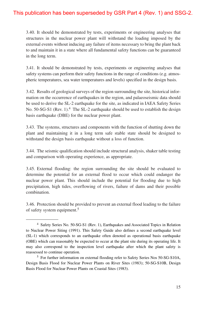3.40. It should be demonstrated by tests, experiments or engineering analyses that structures in the nuclear power plant will withstand the loading imposed by the external events without inducing any failure of items necessary to bring the plant back to and maintain it in a state where all fundamental safety functions can be guaranteed in the long term.

3.41. It should be demonstrated by tests, experiments or engineering analyses that safety systems can perform their safety functions in the range of conditions (e.g. atmospheric temperatures, sea water temperatures and levels) specified in the design basis.

3.42. Results of geological surveys of the region surrounding the site, historical information on the occurrence of earthquakes in the region, and palaeoseismic data should be used to derive the SL-2 earthquake for the site, as indicated in IAEA Safety Series No.  $50-SG-S1$  (Rev. 1).<sup>4</sup> The SL-2 earthquake should be used to establish the design basis earthquake (DBE) for the nuclear power plant.

3.43. The systems, structures and components with the function of shutting down the plant and maintaining it in a long term safe stable state should be designed to withstand the design basis earthquake without a loss of function.

3.44. The seismic qualification should include structural analysis, shaker table testing and comparison with operating experience, as appropriate.

3.45. External flooding: the region surrounding the site should be evaluated to determine the potential for an external flood to occur which could endanger the nuclear power plant. This should include the potential for flooding due to high precipitation, high tides, overflowing of rivers, failure of dams and their possible combination.

3.46. Protection should be provided to prevent an external flood leading to the failure of safety system equipment.<sup>5</sup>

<sup>4</sup> Safety Series No. 50-SG-S1 (Rev. 1), Earthquakes and Associated Topics in Relation to Nuclear Power Siting (1991). This Safety Guide also defines a second earthquake level (SL-1) which corresponds to an earthquake often denoted as operational basis earthquake (OBE) which can reasonably be expected to occur at the plant site during its operating life. It may also correspond to the inspection level earthquake after which the plant safety is reassessed to continue operation.

<sup>5</sup> For further information on external flooding refer to Safety Series Nos 50-SG-S10A, Design Basis Flood for Nuclear Power Plants on River Sites (1983); 50-SG-S10B, Design Basis Flood for Nuclear Power Plants on Coastal Sites (1983).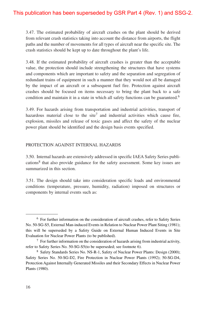3.47. The estimated probability of aircraft crashes on the plant should be derived from relevant crash statistics taking into account the distance from airports, the flight paths and the number of movements for all types of aircraft near the specific site. The crash statistics should be kept up to date throughout the plant's life.

3.48. If the estimated probability of aircraft crashes is greater than the acceptable value, the protection should include strengthening the structures that have systems and components which are important to safety and the separation and segregation of redundant trains of equipment in such a manner that they would not all be damaged by the impact of an aircraft or a subsequent fuel fire. Protection against aircraft crashes should be focused on items necessary to bring the plant back to a safe condition and maintain it in a state in which all safety functions can be guaranteed.<sup>6</sup>

3.49. For hazards arising from transportation and industrial activities, transport of hazardous material close to the site<sup>7</sup> and industrial activities which cause fire, explosion, missiles and release of toxic gases and affect the safety of the nuclear power plant should be identified and the design basis events specified.

#### PROTECTION AGAINST INTERNAL HAZARDS

3.50. Internal hazards are extensively addressed in specific IAEA Safety Series publications<sup>8</sup> that also provide guidance for the safety assessment. Some key issues are summarized in this section.

3.51. The design should take into consideration specific loads and environmental conditions (temperature, pressure, humidity, radiation) imposed on structures or components by internal events such as:

<sup>6</sup> For further information on the consideration of aircraft crashes, refer to Safety Series No. 50-SG-S5, External Man-induced Events in Relation to Nuclear Power Plant Siting (1981); this will be superseded by a Safety Guide on External Human Induced Events in Site Evaluation for Nuclear Power Plants (to be published).

 $\frac{7}{7}$  For further information on the consideration of hazards arising from industrial activity, refer to Safety Series No. 50-SG-S5(to be superseded; see footnote 6).

<sup>8</sup> Safety Standards Series No. NS-R-1, Safety of Nuclear Power Plants: Design (2000); Safety Series No. 50-SG-D2, Fire Protection in Nuclear Power Plants (1992); 50-SG-D4, Protection Against Internally Generated Missiles and their Secondary Effects in Nuclear Power Plants (1980).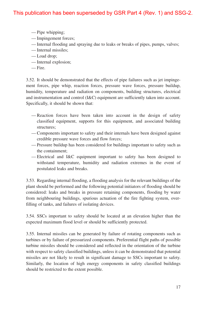- Pipe whipping;
- Impingement forces;
- Internal flooding and spraying due to leaks or breaks of pipes, pumps, valves;
- Internal missiles;
- Load drop;
- Internal explosion;
- Fire.

3.52. It should be demonstrated that the effects of pipe failures such as jet impingement forces, pipe whip, reaction forces, pressure wave forces, pressure buildup, humidity, temperature and radiation on components, building structures, electrical and instrumentation and control (I&C) equipment are sufficiently taken into account. Specifically, it should be shown that:

- Reaction forces have been taken into account in the design of safety classified equipment, supports for this equipment, and associated building structures;
- Components important to safety and their internals have been designed against credible pressure wave forces and flow forces;
- Pressure buildup has been considered for buildings important to safety such as the containment;
- Electrical and I&C equipment important to safety has been designed to withstand temperature, humidity and radiation extremes in the event of postulated leaks and breaks.

3.53. Regarding internal flooding, a flooding analysis for the relevant buildings of the plant should be performed and the following potential initiators of flooding should be considered: leaks and breaks in pressure retaining components, flooding by water from neighbouring buildings, spurious actuation of the fire fighting system, overfilling of tanks, and failures of isolating devices.

3.54. SSCs important to safety should be located at an elevation higher than the expected maximum flood level or should be sufficiently protected.

3.55. Internal missiles can be generated by failure of rotating components such as turbines or by failure of pressurized components. Preferential flight paths of possible turbine missiles should be considered and reflected in the orientation of the turbine with respect to safety classified buildings, unless it can be demonstrated that potential missiles are not likely to result in significant damage to SSCs important to safety. Similarly, the location of high energy components in safety classified buildings should be restricted to the extent possible.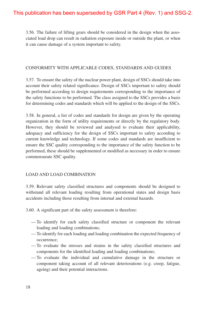3.56. The failure of lifting gears should be considered in the design when the associated load drop can result in radiation exposure inside or outside the plant, or when it can cause damage of a system important to safety.

#### CONFORMITY WITH APPLICABLE CODES, STANDARDS AND GUIDES

3.57. To ensure the safety of the nuclear power plant, design of SSCs should take into account their safety related significance. Design of SSCs important to safety should be performed according to design requirements corresponding to the importance of the safety functions to be performed. The class assigned to the SSCs provides a basis for determining codes and standards which will be applied to the design of the SSCs.

3.58. In general, a list of codes and standards for design are given by the operating organization in the form of utility requirements or directly by the regulatory body. However, they should be reviewed and analysed to evaluate their applicability, adequacy and sufficiency for the design of SSCs important to safety according to current knowledge and technology. If some codes and standards are insufficient to ensure the SSC quality corresponding to the importance of the safety function to be performed, these should be supplemented or modified as necessary in order to ensure commensurate SSC quality.

#### LOAD AND LOAD COMBINATION

3.59. Relevant safety classified structures and components should be designed to withstand all relevant loading resulting from operational states and design basis accidents including those resulting from internal and external hazards.

3.60. A significant part of the safety assessment is therefore:

- To identify for each safety classified structure or component the relevant loading and loading combinations;
- To identify for each loading and loading combination the expected frequency of occurrence;
- To evaluate the stresses and strains in the safety classified structures and components for the identified loading and loading combinations;
- To evaluate the individual and cumulative damage in the structure or component taking account of all relevant deteriorations (e.g. creep, fatigue, ageing) and their potential interactions.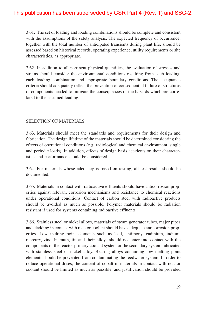3.61. The set of loading and loading combinations should be complete and consistent with the assumptions of the safety analysis. The expected frequency of occurrence, together with the total number of anticipated transients during plant life, should be assessed based on historical records, operating experience, utility requirements or site characteristics, as appropriate.

3.62. In addition to all pertinent physical quantities, the evaluation of stresses and strains should consider the environmental conditions resulting from each loading, each loading combination and appropriate boundary conditions. The acceptance criteria should adequately reflect the prevention of consequential failure of structures or components needed to mitigate the consequences of the hazards which are correlated to the assumed loading.

#### SELECTION OF MATERIALS

3.63. Materials should meet the standards and requirements for their design and fabrication. The design lifetime of the materials should be determined considering the effects of operational conditions (e.g. radiological and chemical environment, single and periodic loads). In addition, effects of design basis accidents on their characteristics and performance should be considered.

3.64. For materials whose adequacy is based on testing, all test results should be documented.

3.65. Materials in contact with radioactive effluents should have anticorrosion properties against relevant corrosion mechanisms and resistance to chemical reactions under operational conditions. Contact of carbon steel with radioactive products should be avoided as much as possible. Polymer materials should be radiation resistant if used for systems containing radioactive effluents.

3.66. Stainless steel or nickel alloys, materials of steam generator tubes, major pipes and cladding in contact with reactor coolant should have adequate anticorrosion properties. Low melting point elements such as lead, antimony, cadmium, indium, mercury, zinc, bismuth, tin and their alloys should not enter into contact with the components of the reactor primary coolant system or the secondary system fabricated with stainless steel or nickel alloy. Bearing alloys containing low melting point elements should be prevented from contaminating the feedwater system. In order to reduce operational doses, the content of cobalt in materials in contact with reactor coolant should be limited as much as possible, and justification should be provided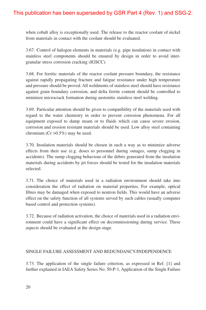when cobalt alloy is exceptionally used. The release to the reactor coolant of nickel from materials in contact with the coolant should be evaluated.

3.67. Control of halogen elements in materials (e.g. pipe insulation) in contact with stainless steel components should be ensured by design in order to avoid intergranular stress corrosion cracking (IGSCC).

3.68. For ferritic materials of the reactor coolant pressure boundary, the resistance against rapidly propagating fracture and fatigue resistance under high temperature and pressure should be proved. All weldments of stainless steel should have resistance against grain boundary corrosion, and delta ferrite content should be controlled to minimize microcrack formation during austenitic stainless steel welding.

3.69. Particular attention should be given to compatibility of the materials used with regard to the water chemistry in order to prevent corrosion phenomena. For all equipment exposed to damp steam or to fluids which can cause severe erosion, corrosion and erosion resistant materials should be used. Low alloy steel containing chromium ( $Cr > 0.5\%$ ) may be used.

3.70. Insulation materials should be chosen in such a way as to minimize adverse effects from their use (e.g. doses to personnel during outages, sump clogging in accidents). The sump clogging behaviour of the debris generated from the insulation materials during accidents by jet forces should be tested for the insulation materials selected.

3.71. The choice of materials used in a radiation environment should take into consideration the effect of radiation on material properties. For example, optical fibres may be damaged when exposed to neutron fields. This would have an adverse effect on the safety function of all systems served by such cables (usually computer based control and protection systems).

3.72. Because of radiation activation, the choice of materials used in a radiation environment could have a significant effect on decommissioning during service. These aspects should be evaluated at the design stage.

#### SINGLE FAILURE ASSESSMENT AND REDUNDANCY/INDEPENDENCE

3.73. The application of the single failure criterion, as expressed in Ref. [1] and further explained in IAEA Safety Series No. 50-P-1, Application of the Single Failure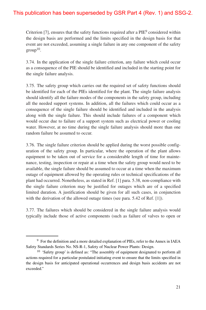Criterion [7], ensures that the safety functions required after a  $PIE<sup>9</sup>$  considered within the design basis are performed and the limits specified in the design basis for that event are not exceeded, assuming a single failure in any one component of the safety  $group<sup>10</sup>$ .

3.74. In the application of the single failure criterion, any failure which could occur as a consequence of the PIE should be identified and included in the starting point for the single failure analysis.

3.75. The safety group which carries out the required set of safety functions should be identified for each of the PIEs identified for the plant. The single failure analysis should identify all the failure modes of the components in the safety group, including all the needed support systems. In addition, all the failures which could occur as a consequence of the single failure should be identified and included in the analysis along with the single failure. This should include failures of a component which would occur due to failure of a support system such as electrical power or cooling water. However, at no time during the single failure analysis should more than one random failure be assumed to occur.

3.76. The single failure criterion should be applied during the worst possible configuration of the safety group. In particular, where the operation of the plant allows equipment to be taken out of service for a considerable length of time for maintenance, testing, inspection or repair at a time when the safety group would need to be available, the single failure should be assumed to occur at a time when the maximum outage of equipment allowed by the operating rules or technical specifications of the plant had occurred. Nonetheless, as stated in Ref. [1] para. 5.38, non-compliance with the single failure criterion may be justified for outages which are of a specified limited duration. A justification should be given for all such cases, in conjunction with the derivation of the allowed outage times (see para. 5.42 of Ref. [1]).

3.77. The failures which should be considered in the single failure analysis would typically include those of active components (such as failure of valves to open or

<sup>9</sup> For the definition and a more detailed explanation of PIEs, refer to the Annex in IAEA Safety Standards Series No. NS-R-1, Safety of Nuclear Power Plants: Design.

<sup>&</sup>lt;sup>10</sup> 'Safety group' is defined as: "The assembly of equipment designated to perform all actions required for a particular postulated initiating event to ensure that the limits specified in the design basis for anticipated operational occurrences and design basis accidents are not exceeded."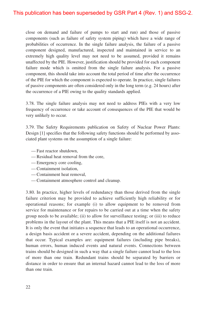close on demand and failure of pumps to start and run) and those of passive components (such as failure of safety system piping) which have a wide range of probabilities of occurrence. In the single failure analysis, the failure of a passive component designed, manufactured, inspected and maintained in service to an extremely high quality level may not need to be assumed, provided it remains unaffected by the PIE. However, justification should be provided for each component failure mode which is omitted from the single failure analysis. For a passive component, this should take into account the total period of time after the occurrence of the PIE for which the component is expected to operate. In practice, single failures of passive components are often considered only in the long term (e.g. 24 hours) after the occurrence of a PIE owing to the quality standards applied.

3.78. The single failure analysis may not need to address PIEs with a very low frequency of occurrence or take account of consequences of the PIE that would be very unlikely to occur.

3.79. The Safety Requirements publication on Safety of Nuclear Power Plants: Design [1] specifies that the following safety functions should be performed by associated plant systems on the assumption of a single failure:

- Fast reactor shutdown,
- Residual heat removal from the core,
- Emergency core cooling,
- Containment isolation,
- Containment heat removal,
- Containment atmosphere control and cleanup.

3.80. In practice, higher levels of redundancy than those derived from the single failure criterion may be provided to achieve sufficiently high reliability or for operational reasons; for example (i) to allow equipment to be removed from service for maintenance or for repairs to be carried out at a time when the safety group needs to be available; (ii) to allow for surveillance testing; or (iii) to reduce problems in the layout of the plant. This means that a PIE itself is not an accident. It is only the event that initiates a sequence that leads to an operational occurrence, a design basis accident or a severe accident, depending on the additional failures that occur. Typical examples are: equipment failures (including pipe breaks), human errors, human induced events and natural events. Connections between trains should be designed in such a way that a single failure cannot lead to the loss of more than one train. Redundant trains should be separated by barriers or distance in order to ensure that an internal hazard cannot lead to the loss of more than one train.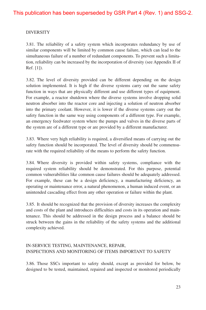#### DIVERSITY

3.81. The reliability of a safety system which incorporates redundancy by use of similar components will be limited by common cause failure, which can lead to the simultaneous failure of a number of redundant components. To prevent such a limitation, reliability can be increased by the incorporation of diversity (see Appendix II of Ref. [1]).

3.82. The level of diversity provided can be different depending on the design solution implemented. It is high if the diverse systems carry out the same safety function in ways that are physically different and use different types of equipment. For example, a reactor shutdown where the diverse systems involve dropping solid neutron absorber into the reactor core and injecting a solution of neutron absorber into the primary coolant. However, it is lower if the diverse systems carry out the safety function in the same way using components of a different type. For example, an emergency feedwater system where the pumps and valves in the diverse parts of the system are of a different type or are provided by a different manufacturer.

3.83. Where very high reliability is required, a diversified means of carrying out the safety function should be incorporated. The level of diversity should be commensurate with the required reliability of the means to perform the safety function.

3.84. Where diversity is provided within safety systems, compliance with the required system reliability should be demonstrated. For this purpose, potential common vulnerabilities like common cause failures should be adequately addressed. For example, these can be a design deficiency, a manufacturing deficiency, an operating or maintenance error, a natural phenomenon, a human induced event, or an unintended cascading effect from any other operation or failure within the plant.

3.85. It should be recognized that the provision of diversity increases the complexity and costs of the plant and introduces difficulties and costs in its operation and maintenance. This should be addressed in the design process and a balance should be struck between the gains in the reliability of the safety systems and the additional complexity achieved.

#### IN-SERVICE TESTING, MAINTENANCE, REPAIR, INSPECTIONS AND MONITORING OF ITEMS IMPORTANT TO SAFETY

3.86. Those SSCs important to safety should, except as provided for below, be designed to be tested, maintained, repaired and inspected or monitored periodically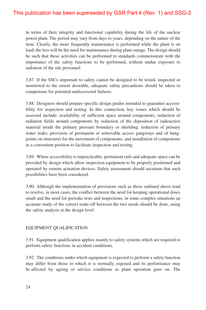in terms of their integrity and functional capability during the life of the nuclear power plant. The period may vary from days to years, depending on the nature of the item. Clearly, the more frequently maintenance is performed while the plant is on load, the less will be the need for maintenance during plant outage. The design should be such that these activities can be performed to standards commensurate with the importance of the safety functions to be performed, without undue exposure to radiation of the site personnel.

3.87. If the SSCs important to safety cannot be designed to be tested, inspected or monitored to the extent desirable, adequate safety precautions should be taken to compensate for potential undiscovered failures.

3.88. Designers should prepare specific design guides intended to guarantee accessibility for inspection and testing. In this connection, key issues which should be assessed include: availability of sufficient space around components; reduction of radiation fields around components by reduction of the deposition of radioactive material inside the primary pressure boundary or shielding; reduction of primary water leaks; provision of permanent or removable access gangways and of hangpoints on structures for the movement of components; and installation of components in a convenient position to facilitate inspection and testing.

3.89. Where accessibility is impracticable, permanent rails and adequate space can be provided by design which allow inspection equipment to be properly positioned and operated by remote actuation devices. Safety assessment should ascertain that such possibilities have been considered.

3.90. Although the implementation of provisions such as those outlined above tend to resolve, in most cases, the conflict between the need for keeping operational doses small and the need for periodic tests and inspections, in some complex situations an accurate study of the correct trade-off between the two needs should be done, using the safety analysis at the design level.

#### EQUIPMENT QUALIFICATION

3.91. Equipment qualification applies mainly to safety systems which are required to perform safety functions in accident conditions.

3.92. The conditions under which equipment is expected to perform a safety function may differ from those to which it is normally exposed and its performance may be affected by ageing or service conditions as plant operation goes on. The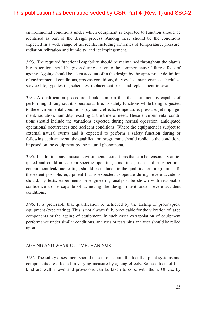environmental conditions under which equipment is expected to function should be identified as part of the design process. Among these should be the conditions expected in a wide range of accidents, including extremes of temperature, pressure, radiation, vibration and humidity, and jet impingement.

3.93. The required functional capability should be maintained throughout the plant's life. Attention should be given during design to the common cause failure effects of ageing. Ageing should be taken account of in the design by the appropriate definition of environmental conditions, process conditions, duty cycles, maintenance schedules, service life, type testing schedules, replacement parts and replacement intervals.

3.94. A qualification procedure should confirm that the equipment is capable of performing, throughout its operational life, its safety functions while being subjected to the environmental conditions (dynamic effects, temperature, pressure, jet impingement, radiation, humidity) existing at the time of need. These environmental conditions should include the variations expected during normal operation, anticipated operational occurrences and accident conditions. Where the equipment is subject to external natural events and is expected to perform a safety function during or following such an event, the qualification programme should replicate the conditions imposed on the equipment by the natural phenomena.

3.95. In addition, any unusual environmental conditions that can be reasonably anticipated and could arise from specific operating conditions, such as during periodic containment leak rate testing, should be included in the qualification programme. To the extent possible, equipment that is expected to operate during severe accidents should, by tests, experiments or engineering analysis, be shown with reasonable confidence to be capable of achieving the design intent under severe accident conditions.

3.96. It is preferable that qualification be achieved by the testing of prototypical equipment (type testing). This is not always fully practicable for the vibration of large components or the ageing of equipment. In such cases extrapolation of equipment performance under similar conditions, analyses or tests plus analyses should be relied upon.

#### AGEING AND WEAR-OUT MECHANISMS

3.97. The safety assessment should take into account the fact that plant systems and components are affected in varying measure by ageing effects. Some effects of this kind are well known and provisions can be taken to cope with them. Others, by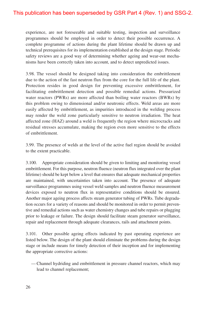experience, are not foreseeable and suitable testing, inspection and surveillance programmes should be employed in order to detect their possible occurrence. A complete programme of actions during the plant lifetime should be drawn up and technical prerequisites for its implementation established at the design stage. Periodic safety reviews are a good way of determining whether ageing and wear-out mechanisms have been correctly taken into account, and to detect unpredicted issues.

3.98. The vessel should be designed taking into consideration the embrittlement due to the action of the fast neutron flux from the core for the full life of the plant. Protection resides in good design for preventing excessive embrittlement, for facilitating embrittlement detection and possible remedial actions. Pressurized water reactors (PWRs) are more affected than boiling water reactors (BWRs) by this problem owing to dimensional and/or neutronic effects. Weld areas are more easily affected by embrittlement, as impurities introduced in the welding process may render the weld zone particularly sensitive to neutron irradiation. The heat affected zone (HAZ) around a weld is frequently the region where microcracks and residual stresses accumulate, making the region even more sensitive to the effects of embrittlement.

3.99. The presence of welds at the level of the active fuel region should be avoided to the extent practicable.

3.100. Appropriate consideration should be given to limiting and monitoring vessel embrittlement. For this purpose, neutron fluence (neutron flux integrated over the plant lifetime) should be kept below a level that ensures that adequate mechanical properties are maintained, with uncertainties taken into account. The presence of adequate surveillance programmes using vessel weld samples and neutron fluence measurement devices exposed to neutron flux in representative conditions should be ensured. Another major ageing process affects steam generator tubing of PWRs. Tube degradation occurs for a variety of reasons and should be monitored in order to permit preventive and remedial actions such as water chemistry changes and tube repairs or plugging prior to leakage or failure. The design should facilitate steam generator surveillance, repair and replacement through adequate clearances, rails and attachment points.

3.101. Other possible ageing effects indicated by past operating experience are listed below. The design of the plant should eliminate the problems during the design stage or include means for timely detection of their inception and for implementing the appropriate corrective actions:

— Channel hydriding and embrittlement in pressure channel reactors, which may lead to channel replacement;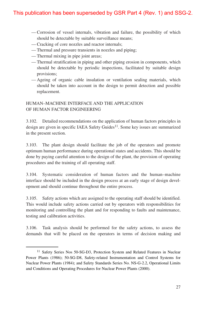- Corrosion of vessel internals, vibration and failure, the possibility of which should be detectable by suitable surveillance means;
- Cracking of core nozzles and reactor internals;
- Thermal and pressure transients in nozzles and piping;
- Thermal mixing in pipe joint areas;
- Thermal stratification in piping and other piping erosion in components, which should be detectable by periodic inspections, facilitated by suitable design provisions;
- Ageing of organic cable insulation or ventilation sealing materials, which should be taken into account in the design to permit detection and possible replacement.

#### HUMAN–MACHINE INTERFACE AND THE APPLICATION OF HUMAN FACTOR ENGINEERING

3.102. Detailed recommendations on the application of human factors principles in design are given in specific IAEA Safety Guides $^{11}$ . Some key issues are summarized in the present section.

3.103. The plant design should facilitate the job of the operators and promote optimum human performance during operational states and accidents. This should be done by paying careful attention to the design of the plant, the provision of operating procedures and the training of all operating staff.

3.104. Systematic consideration of human factors and the human–machine interface should be included in the design process at an early stage of design development and should continue throughout the entire process.

3.105. Safety actions which are assigned to the operating staff should be identified. This would include safety actions carried out by operators with responsibilities for monitoring and controlling the plant and for responding to faults and maintenance, testing and calibration activities.

3.106. Task analysis should be performed for the safety actions, to assess the demands that will be placed on the operators in terms of decision making and

<sup>&</sup>lt;sup>11</sup> Safety Series Nos 50-SG-D3, Protection System and Related Features in Nuclear Power Plants (1986); 50-SG-D8, Safety-related Instrumentation and Control Systems for Nuclear Power Plants (1984); and Safety Standards Series No. NS-G-2.2, Operational Limits and Conditions and Operating Procedures for Nuclear Power Plants (2000).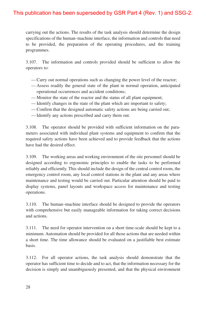carrying out the actions. The results of the task analysis should determine the design specifications of the human–machine interface, the information and controls that need to be provided, the preparation of the operating procedures, and the training programmes.

3.107. The information and controls provided should be sufficient to allow the operators to:

- Carry out normal operations such as changing the power level of the reactor;
- Assess readily the general state of the plant in normal operation, anticipated operational occurrences and accident conditions;
- Monitor the state of the reactor and the status of all plant equipment;
- Identify changes in the state of the plant which are important to safety;
- Confirm that the designed automatic safety actions are being carried out;
- Identify any actions prescribed and carry them out.

3.108. The operator should be provided with sufficient information on the parameters associated with individual plant systems and equipment to confirm that the required safety actions have been achieved and to provide feedback that the actions have had the desired effect.

3.109. The working areas and working environment of the site personnel should be designed according to ergonomic principles to enable the tasks to be performed reliably and efficiently. This should include the design of the central control room, the emergency control room, any local control stations in the plant and any areas where maintenance and testing would be carried out. Particular attention should be paid to display systems, panel layouts and workspace access for maintenance and testing operations.

3.110. The human–machine interface should be designed to provide the operators with comprehensive but easily manageable information for taking correct decisions and actions.

3.111. The need for operator intervention on a short time-scale should be kept to a minimum. Automation should be provided for all those actions that are needed within a short time. The time allowance should be evaluated on a justifiable best estimate basis.

3.112. For all operator actions, the task analysis should demonstrate that the operator has sufficient time to decide and to act, that the information necessary for the decision is simply and unambiguously presented, and that the physical environment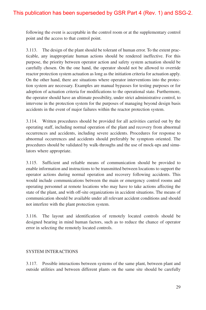following the event is acceptable in the control room or at the supplementary control point and the access to that control point.

3.113. The design of the plant should be tolerant of human error. To the extent practicable, any inappropriate human actions should be rendered ineffective. For this purpose, the priority between operator action and safety system actuation should be carefully chosen. On the one hand, the operator should not be allowed to override reactor protection system actuation as long as the initiation criteria for actuation apply. On the other hand, there are situations where operator interventions into the protection system are necessary. Examples are manual bypasses for testing purposes or for adoption of actuation criteria for modifications to the operational state. Furthermore, the operator should have an ultimate possibility, under strict administrative control, to intervene in the protection system for the purposes of managing beyond design basis accidents in the event of major failures within the reactor protection system.

3.114. Written procedures should be provided for all activities carried out by the operating staff, including normal operation of the plant and recovery from abnormal occurrences and accidents, including severe accidents. Procedures for response to abnormal occurrences and accidents should preferably be symptom oriented. The procedures should be validated by walk-throughs and the use of mock-ups and simulators where appropriate.

3.115. Sufficient and reliable means of communication should be provided to enable information and instructions to be transmitted between locations to support the operator actions during normal operation and recovery following accidents. This would include communications between the main or emergency control rooms and operating personnel at remote locations who may have to take actions affecting the state of the plant, and with off-site organizations in accident situations. The means of communication should be available under all relevant accident conditions and should not interfere with the plant protection system.

3.116. The layout and identification of remotely located controls should be designed bearing in mind human factors, such as to reduce the chance of operator error in selecting the remotely located controls.

#### SYSTEM INTERACTIONS

3.117. Possible interactions between systems of the same plant, between plant and outside utilities and between different plants on the same site should be carefully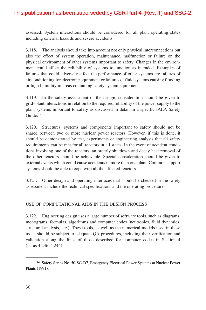assessed. System interactions should be considered for all plant operating states including external hazards and severe accidents.

3.118. The analysis should take into account not only physical interconnections but also the effect of system operation, maintenance, malfunction or failure on the physical environment of other systems important to safety. Changes in the environment could affect the reliability of systems to function as intended. Examples of failures that could adversely affect the performance of other systems are failures of air conditioning for electronic equipment or failures of fluid systems causing flooding or high humidity in areas containing safety system equipment.

3.119. In the safety assessment of the design, consideration should be given to grid–plant interactions in relation to the required reliability of the power supply to the plant systems important to safety as discussed in detail in a specific IAEA Safety Guide.<sup>12</sup>

3.120. Structures, systems and components important to safety should not be shared between two or more nuclear power reactors. However, if this is done, it should be demonstrated by test, experiments or engineering analysis that all safety requirements can be met for all reactors in all states. In the event of accident conditions involving one of the reactors, an orderly shutdown and decay heat removal of the other reactors should be achievable. Special consideration should be given to external events which could cause accidents in more than one plant. Common support systems should be able to cope with all the affected reactors.

3.121. Other design and operating interfaces that should be checked in the safety assessment include the technical specifications and the operating procedures.

### USE OF COMPUTATIONAL AIDS IN THE DESIGN PROCESS

3.122. Engineering design uses a large number of software tools, such as diagrams, monograms, formulas, algorithms and computer codes (neutronics, fluid dynamics, structural analysis, etc.). These tools, as well as the numerical models used in these tools, should be subject to adequate QA procedures, including their verification and validation along the lines of those described for computer codes in Section 4 (paras 4.236–4.244).

<sup>12</sup> Safety Series No. 50-SG-D7, Emergency Electrical Power Systems at Nuclear Power Plants (1991).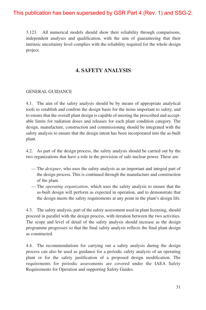3.123. All numerical models should show their reliability through comparisons, independent analyses and qualification, with the aim of guaranteeing that their intrinsic uncertainty level complies with the reliability required for the whole design project.

### **4. SAFETY ANALYSIS**

#### GENERAL GUIDANCE

4.1. The aim of the safety analysis should be by means of appropriate analytical tools to establish and confirm the design basis for the items important to safety, and to ensure that the overall plant design is capable of meeting the prescribed and acceptable limits for radiation doses and releases for each plant condition category. The design, manufacture, construction and commissioning should be integrated with the safety analysis to ensure that the design intent has been incorporated into the as-built plant.

4.2. As part of the design process, the safety analysis should be carried out by the two organizations that have a role in the provision of safe nuclear power. These are:

- The *designer*, who uses the safety analysis as an important and integral part of the design process. This is continued through the manufacture and construction of the plant.
- The *operating organization*, which uses the safety analysis to ensure that the as-built design will perform as expected in operation, and to demonstrate that the design meets the safety requirements at any point in the plant's design life.

4.3. The safety analysis, part of the safety assessment used in plant licensing, should proceed in parallel with the design process, with iteration between the two activities. The scope and level of detail of the safety analysis should increase as the design programme progresses so that the final safety analysis reflects the final plant design as constructed.

4.4. The recommendations for carrying out a safety analysis during the design process can also be used as guidance for a periodic safety analysis of an operating plant or for the safety justification of a proposed design modification. The requirements for periodic assessments are covered under the IAEA Safety Requirements for Operation and supporting Safety Guides.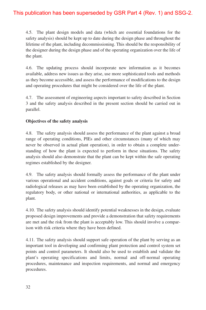4.5. The plant design models and data (which are essential foundations for the safety analysis) should be kept up to date during the design phase and throughout the lifetime of the plant, including decommissioning. This should be the responsibility of the designer during the design phase and of the operating organization over the life of the plant.

4.6. The updating process should incorporate new information as it becomes available, address new issues as they arise, use more sophisticated tools and methods as they become accessible, and assess the performance of modifications to the design and operating procedures that might be considered over the life of the plant.

4.7. The assessment of engineering aspects important to safety described in Section 3 and the safety analysis described in the present section should be carried out in parallel.

#### **Objectives of the safety analysis**

4.8. The safety analysis should assess the performance of the plant against a broad range of operating conditions, PIEs and other circumstances (many of which may never be observed in actual plant operation), in order to obtain a complete understanding of how the plant is expected to perform in these situations. The safety analysis should also demonstrate that the plant can be kept within the safe operating regimes established by the designer.

4.9. The safety analysis should formally assess the performance of the plant under various operational and accident conditions, against goals or criteria for safety and radiological releases as may have been established by the operating organization, the regulatory body, or other national or international authorities, as applicable to the plant.

4.10. The safety analysis should identify potential weaknesses in the design, evaluate proposed design improvements and provide a demonstration that safety requirements are met and the risk from the plant is acceptably low. This should involve a comparison with risk criteria where they have been defined.

4.11. The safety analysis should support safe operation of the plant by serving as an important tool in developing and confirming plant protection and control system set points and control parameters. It should also be used to establish and validate the plant's operating specifications and limits, normal and off-normal operating procedures, maintenance and inspection requirements, and normal and emergency procedures.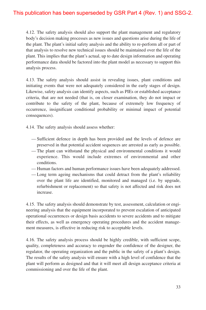4.12. The safety analysis should also support the plant management and regulatory body's decision making processes as new issues and questions arise during the life of the plant. The plant's initial safety analysis and the ability to re-perform all or part of that analysis to resolve new technical issues should be maintained over the life of the plant. This implies that the plant's actual, up to date design information and operating performance data should be factored into the plant model as necessary to support this analysis process.

4.13. The safety analysis should assist in revealing issues, plant conditions and initiating events that were not adequately considered in the early stages of design. Likewise, safety analysis can identify aspects, such as PIEs or established acceptance criteria, that are not needed (that is, on closer examination, they do not impact or contribute to the safety of the plant, because of extremely low frequency of occurrence, insignificant conditional probability or minimal impact of potential consequences).

4.14. The safety analysis should assess whether:

- Sufficient defence in depth has been provided and the levels of defence are preserved in that potential accident sequences are arrested as early as possible.
- The plant can withstand the physical and environmental conditions it would experience. This would include extremes of environmental and other conditions.
- Human factors and human performance issues have been adequately addressed.
- Long term ageing mechanisms that could detract from the plant's reliability over the plant life are identified, monitored and managed (i.e. by upgrade, refurbishment or replacement) so that safety is not affected and risk does not increase.

4.15. The safety analysis should demonstrate by test, assessment, calculation or engineering analysis that the equipment incorporated to prevent escalation of anticipated operational occurrences or design basis accidents to severe accidents and to mitigate their effects, as well as emergency operating procedures and the accident management measures, is effective in reducing risk to acceptable levels.

4.16. The safety analysis process should be highly credible, with sufficient scope, quality, completeness and accuracy to engender the confidence of the designer, the regulator, the operating organization and the public in the safety of a plant's design. The results of the safety analysis will ensure with a high level of confidence that the plant will perform as designed and that it will meet all design acceptance criteria at commissioning and over the life of the plant.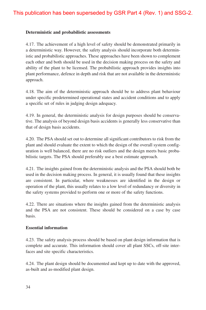### **Deterministic and probabilistic assessments**

4.17. The achievement of a high level of safety should be demonstrated primarily in a deterministic way. However, the safety analysis should incorporate both deterministic and probabilistic approaches. These approaches have been shown to complement each other and both should be used in the decision making process on the safety and ability of the plant to be licensed. The probabilistic approach provides insights into plant performance, defence in depth and risk that are not available in the deterministic approach.

4.18. The aim of the deterministic approach should be to address plant behaviour under specific predetermined operational states and accident conditions and to apply a specific set of rules in judging design adequacy.

4.19. In general, the deterministic analysis for design purposes should be conservative. The analysis of beyond design basis accidents is generally less conservative than that of design basis accidents.

4.20. The PSA should set out to determine all significant contributors to risk from the plant and should evaluate the extent to which the design of the overall system configuration is well balanced, there are no risk outliers and the design meets basic probabilistic targets. The PSA should preferably use a best estimate approach.

4.21. The insights gained from the deterministic analysis and the PSA should both be used in the decision making process. In general, it is usually found that these insights are consistent. In particular, where weaknesses are identified in the design or operation of the plant, this usually relates to a low level of redundancy or diversity in the safety systems provided to perform one or more of the safety functions.

4.22. There are situations where the insights gained from the deterministic analysis and the PSA are not consistent. These should be considered on a case by case basis.

#### **Essential information**

4.23. The safety analysis process should be based on plant design information that is complete and accurate. This information should cover all plant SSCs, off-site interfaces and site specific characteristics.

4.24. The plant design should be documented and kept up to date with the approved, as-built and as-modified plant design.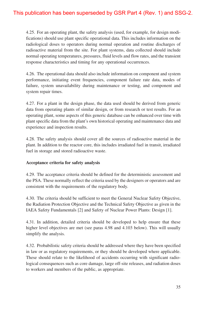4.25. For an operating plant, the safety analysis (used, for example, for design modifications) should use plant specific operational data. This includes information on the radiological doses to operators during normal operation and routine discharges of radioactive material from the site. For plant systems, data collected should include normal operating temperatures, pressures, fluid levels and flow rates, and the transient response characteristics and timing for any operational occurrences.

4.26. The operational data should also include information on component and system performance, initiating event frequencies, component failure rate data, modes of failure, system unavailability during maintenance or testing, and component and system repair times.

4.27. For a plant in the design phase, the data used should be derived from generic data from operating plants of similar design, or from research or test results. For an operating plant, some aspects of this generic database can be enhanced over time with plant specific data from the plant's own historical operating and maintenance data and experience and inspection results.

4.28. The safety analysis should cover all the sources of radioactive material in the plant. In addition to the reactor core, this includes irradiated fuel in transit, irradiated fuel in storage and stored radioactive waste.

### **Acceptance criteria for safety analysis**

4.29. The acceptance criteria should be defined for the deterministic assessment and the PSA. These normally reflect the criteria used by the designers or operators and are consistent with the requirements of the regulatory body.

4.30. The criteria should be sufficient to meet the General Nuclear Safety Objective, the Radiation Protection Objective and the Technical Safety Objective as given in the IAEA Safety Fundamentals [2] and Safety of Nuclear Power Plants: Design [1].

4.31. In addition, detailed criteria should be developed to help ensure that these higher level objectives are met (see paras 4.98 and 4.103 below). This will usually simplify the analysis.

4.32. Probabilistic safety criteria should be addressed where they have been specified in law or as regulatory requirements, or they should be developed where applicable. These should relate to the likelihood of accidents occurring with significant radiological consequences such as core damage, large off-site releases, and radiation doses to workers and members of the public, as appropriate.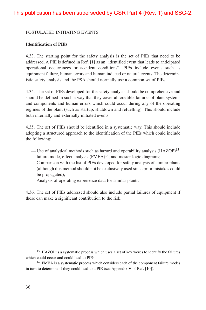#### POSTULATED INITIATING EVENTS

#### **Identification of PIEs**

4.33. The starting point for the safety analysis is the set of PIEs that need to be addressed. A PIE is defined in Ref. [1] as an "identified event that leads to anticipated operational occurrences or accident conditions". PIEs include events such as equipment failure, human errors and human induced or natural events. The deterministic safety analysis and the PSA should normally use a common set of PIEs.

4.34. The set of PIEs developed for the safety analysis should be comprehensive and should be defined in such a way that they cover all credible failures of plant systems and components and human errors which could occur during any of the operating regimes of the plant (such as startup, shutdown and refuelling). This should include both internally and externally initiated events.

4.35. The set of PIEs should be identified in a systematic way. This should include adopting a structured approach to the identification of the PIEs which could include the following:

- Use of analytical methods such as hazard and operability analysis (HAZOP)<sup>13</sup>, failure mode, effect analysis  $(FMEA)^{14}$ , and master logic diagrams;
- Comparison with the list of PIEs developed for safety analysis of similar plants (although this method should not be exclusively used since prior mistakes could be propagated);
- Analysis of operating experience data for similar plants.

4.36. The set of PIEs addressed should also include partial failures of equipment if these can make a significant contribution to the risk.

<sup>&</sup>lt;sup>13</sup> HAZOP is a systematic process which uses a set of key words to identify the failures which could occur and could lead to PIEs.

<sup>&</sup>lt;sup>14</sup> FMEA is a systematic process which considers each of the component failure modes in turn to determine if they could lead to a PIE (see Appendix V of Ref. [10]).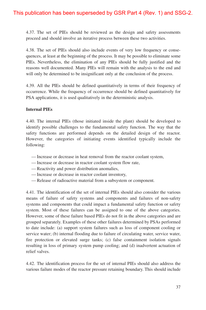4.37. The set of PIEs should be reviewed as the design and safety assessments proceed and should involve an iterative process between these two activities.

4.38. The set of PIEs should also include events of very low frequency or consequences, at least at the beginning of the process. It may be possible to eliminate some PIEs. Nevertheless, the elimination of any PIEs should be fully justified and the reasons well documented. Many PIEs will remain with the analysis to the end and will only be determined to be insignificant only at the conclusion of the process.

4.39. All the PIEs should be defined quantitatively in terms of their frequency of occurrence. While the frequency of occurrence should be defined quantitatively for PSA applications, it is used qualitatively in the deterministic analysis.

### **Internal PIEs**

4.40. The internal PIEs (those initiated inside the plant) should be developed to identify possible challenges to the fundamental safety function. The way that the safety functions are performed depends on the detailed design of the reactor. However, the categories of initiating events identified typically include the following:

- Increase or decrease in heat removal from the reactor coolant system,
- Increase or decrease in reactor coolant system flow rate,
- Reactivity and power distribution anomalies,
- Increase or decrease in reactor coolant inventory,
- Release of radioactive material from a subsystem or component.

4.41. The identification of the set of internal PIEs should also consider the various means of failure of safety systems and components and failures of non-safety systems and components that could impact a fundamental safety function or safety system. Most of these failures can be assigned to one of the above categories. However, some of these failure based PIEs do not fit in the above categories and are grouped separately. Examples of these other failures determined by PSAs performed to date include: (a) support system failures such as loss of component cooling or service water; (b) internal flooding due to failure of circulating water, service water, fire protection or elevated surge tanks; (c) false containment isolation signals resulting in loss of primary system pump cooling; and (d) inadvertent actuation of relief valves.

4.42. The identification process for the set of internal PIEs should also address the various failure modes of the reactor pressure retaining boundary. This should include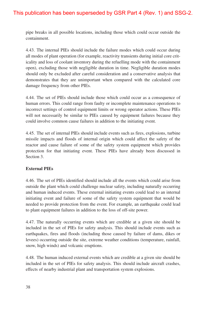pipe breaks in all possible locations, including those which could occur outside the containment.

4.43. The internal PIEs should include the failure modes which could occur during all modes of plant operation (for example, reactivity transients during initial core criticality and loss of coolant inventory during the refuelling mode with the containment open), excluding those with negligible duration in time. Negligible duration modes should only be excluded after careful consideration and a conservative analysis that demonstrates that they are unimportant when compared with the calculated core damage frequency from other PIEs.

4.44. The set of PIEs should include those which could occur as a consequence of human errors. This could range from faulty or incomplete maintenance operations to incorrect settings of control equipment limits or wrong operator actions. These PIEs will not necessarily be similar to PIEs caused by equipment failures because they could involve common cause failures in addition to the initiating event.

4.45. The set of internal PIEs should include events such as fires, explosions, turbine missile impacts and floods of internal origin which could affect the safety of the reactor and cause failure of some of the safety system equipment which provides protection for that initiating event. These PIEs have already been discussed in Section 3.

### **External PIEs**

4.46. The set of PIEs identified should include all the events which could arise from outside the plant which could challenge nuclear safety, including naturally occurring and human induced events. These external initiating events could lead to an internal initiating event and failure of some of the safety system equipment that would be needed to provide protection from the event. For example, an earthquake could lead to plant equipment failures in addition to the loss of off-site power.

4.47. The naturally occurring events which are credible at a given site should be included in the set of PIEs for safety analysis. This should include events such as earthquakes, fires and floods (including those caused by failure of dams, dikes or levees) occurring outside the site, extreme weather conditions (temperature, rainfall, snow, high winds) and volcanic eruptions.

4.48. The human induced external events which are credible at a given site should be included in the set of PIEs for safety analysis. This should include aircraft crashes, effects of nearby industrial plant and transportation system explosions.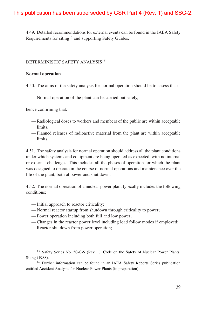4.49. Detailed recommendations for external events can be found in the IAEA Safety Requirements for siting<sup>15</sup> and supporting Safety Guides.

#### DETERMINISTIC SAFETY ANALYSIS<sup>16</sup>

#### **Normal operation**

4.50. The aims of the safety analysis for normal operation should be to assess that:

— Normal operation of the plant can be carried out safely,

hence confirming that:

- Radiological doses to workers and members of the public are within acceptable limits,
- Planned releases of radioactive material from the plant are within acceptable limits.

4.51. The safety analysis for normal operation should address all the plant conditions under which systems and equipment are being operated as expected, with no internal or external challenges. This includes all the phases of operation for which the plant was designed to operate in the course of normal operations and maintenance over the life of the plant, both at power and shut down.

4.52. The normal operation of a nuclear power plant typically includes the following conditions:

- Initial approach to reactor criticality;
- Normal reactor startup from shutdown through criticality to power;
- Power operation including both full and low power;
- Changes in the reactor power level including load follow modes if employed;
- Reactor shutdown from power operation;

<sup>15</sup> Safety Series No. 50-C-S (Rev. 1), Code on the Safety of Nuclear Power Plants: Siting (1988).

<sup>&</sup>lt;sup>16</sup> Further information can be found in an IAEA Safety Reports Series publication entitled Accident Analysis for Nuclear Power Plants (in preparation).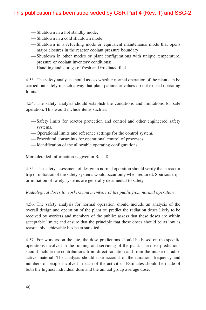- Shutdown in a hot standby mode;
- Shutdown in a cold shutdown mode;
- Shutdown in a refuelling mode or equivalent maintenance mode that opens major closures in the reactor coolant pressure boundary;
- Shutdown in other modes or plant configurations with unique temperature, pressure or coolant inventory conditions;
- Handling and storage of fresh and irradiated fuel.

4.53. The safety analysis should assess whether normal operation of the plant can be carried out safely in such a way that plant parameter values do not exceed operating limits.

4.54. The safety analysis should establish the conditions and limitations for safe operation. This would include items such as:

- Safety limits for reactor protection and control and other engineered safety systems,
- Operational limits and reference settings for the control system,
- Procedural constraints for operational control of processes,
- Identification of the allowable operating configurations.

More detailed information is given in Ref. [8].

4.55. The safety assessment of design in normal operation should verify that a reactor trip or initiation of the safety systems would occur only when required. Spurious trips or initiation of safety systems are generally detrimental to safety.

#### *Radiological doses to workers and members of the public from normal operation*

4.56. The safety analysis for normal operation should include an analysis of the overall design and operation of the plant to: predict the radiation doses likely to be received by workers and members of the public; assess that these doses are within acceptable limits; and ensure that the principle that these doses should be as low as reasonably achievable has been satisfied.

4.57. For workers on the site, the dose predictions should be based on the specific operations involved in the running and servicing of the plant. The dose predictions should include the contributions from direct radiation and from the intake of radioactive material. The analysis should take account of the duration, frequency and numbers of people involved in each of the activities. Estimates should be made of both the highest individual dose and the annual group average dose.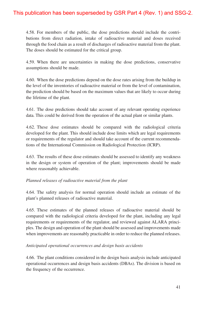4.58. For members of the public, the dose predictions should include the contributions from direct radiation, intake of radioactive material and doses received through the food chain as a result of discharges of radioactive material from the plant. The doses should be estimated for the critical group.

4.59. When there are uncertainties in making the dose predictions, conservative assumptions should be made.

4.60. When the dose predictions depend on the dose rates arising from the buildup in the level of the inventories of radioactive material or from the level of contamination, the prediction should be based on the maximum values that are likely to occur during the lifetime of the plant.

4.61. The dose predictions should take account of any relevant operating experience data. This could be derived from the operation of the actual plant or similar plants.

4.62. These dose estimates should be compared with the radiological criteria developed for the plant. This should include dose limits which are legal requirements or requirements of the regulator and should take account of the current recommendations of the International Commission on Radiological Protection (ICRP).

4.63. The results of these dose estimates should be assessed to identify any weakness in the design or system of operation of the plant; improvements should be made where reasonably achievable.

#### *Planned releases of radioactive material from the plant*

4.64. The safety analysis for normal operation should include an estimate of the plant's planned releases of radioactive material.

4.65. These estimates of the planned releases of radioactive material should be compared with the radiological criteria developed for the plant, including any legal requirements or requirements of the regulator, and reviewed against ALARA principles. The design and operation of the plant should be assessed and improvements made when improvements are reasonably practicable in order to reduce the planned releases.

#### *Anticipated operational occurrences and design basis accidents*

4.66. The plant conditions considered in the design basis analysis include anticipated operational occurrences and design basis accidents (DBAs). The division is based on the frequency of the occurrence.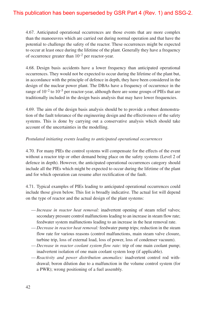4.67. Anticipated operational occurrences are those events that are more complex than the manoeuvres which are carried out during normal operation and that have the potential to challenge the safety of the reactor. These occurrences might be expected to occur at least once during the lifetime of the plant. Generally they have a frequency of occurrence greater than  $10^{-2}$  per reactor-year.

4.68. Design basis accidents have a lower frequency than anticipated operational occurrences. They would not be expected to occur during the lifetime of the plant but, in accordance with the principle of defence in depth, they have been considered in the design of the nuclear power plant. The DBAs have a frequency of occurrence in the range of  $10^{-2}$  to  $10^{-5}$  per reactor-year, although there are some groups of PIEs that are traditionally included in the design basis analysis that may have lower frequencies.

4.69. The aim of the design basis analysis should be to provide a robust demonstration of the fault tolerance of the engineering design and the effectiveness of the safety systems. This is done by carrying out a conservative analysis which should take account of the uncertainties in the modelling.

#### *Postulated initiating events leading to anticipated operational occurrences*

4.70. For many PIEs the control systems will compensate for the effects of the event without a reactor trip or other demand being place on the safety systems (Level 2 of defence in depth). However, the anticipated operational occurrences category should include all the PIEs which might be expected to occur during the lifetime of the plant and for which operation can resume after rectification of the fault.

4.71. Typical examples of PIEs leading to anticipated operational occurrences could include those given below. This list is broadly indicative. The actual list will depend on the type of reactor and the actual design of the plant systems:

- *Increase in reactor heat removal:* inadvertent opening of steam relief valves; secondary pressure control malfunctions leading to an increase in steam flow rate; feedwater system malfunctions leading to an increase in the heat removal rate.
- *Decrease in reactor heat removal:* feedwater pump trips; reduction in the steam flow rate for various reasons (control malfunctions, main steam valve closure, turbine trip, loss of external load, loss of power, loss of condenser vacuum).
- *Decrease in reactor coolant system flow rate:* trip of one main coolant pump; inadvertent isolation of one main coolant system loop (if applicable).
- *Reactivity and power distribution anomalies:* inadvertent control rod withdrawal; boron dilution due to a malfunction in the volume control system (for a PWR); wrong positioning of a fuel assembly.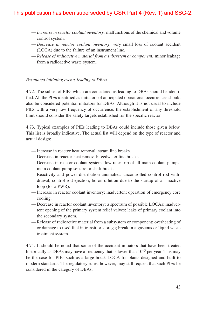- *Increase in reactor coolant inventory:* malfunctions of the chemical and volume control system.
- *Decrease in reactor coolant inventory:* very small loss of coolant accident (LOCA) due to the failure of an instrument line.
- *Release of radioactive material from a subsystem or component:* minor leakage from a radioactive waste system.

#### *Postulated initiating events leading to DBAs*

4.72. The subset of PIEs which are considered as leading to DBAs should be identified. All the PIEs identified as initiators of anticipated operational occurrences should also be considered potential initiators for DBAs. Although it is not usual to include PIEs with a very low frequency of occurrence, the establishment of any threshold limit should consider the safety targets established for the specific reactor.

4.73. Typical examples of PIEs leading to DBAs could include those given below. This list is broadly indicative. The actual list will depend on the type of reactor and actual design:

- Increase in reactor heat removal: steam line breaks.
- Decrease in reactor heat removal: feedwater line breaks.
- Decrease in reactor coolant system flow rate: trip of all main coolant pumps; main coolant pump seizure or shaft break.
- Reactivity and power distribution anomalies: uncontrolled control rod withdrawal; control rod ejection; boron dilution due to the startup of an inactive loop (for a PWR).
- Increase in reactor coolant inventory: inadvertent operation of emergency core cooling.
- Decrease in reactor coolant inventory: a spectrum of possible LOCAs; inadvertent opening of the primary system relief valves; leaks of primary coolant into the secondary system.
- Release of radioactive material from a subsystem or component: overheating of or damage to used fuel in transit or storage; break in a gaseous or liquid waste treatment system.

4.74. It should be noted that some of the accident initiators that have been treated historically as DBAs may have a frequency that is lower than  $10^{-5}$  per year. This may be the case for PIEs such as a large break LOCA for plants designed and built to modern standards. The regulatory rules, however, may still request that such PIEs be considered in the category of DBAs.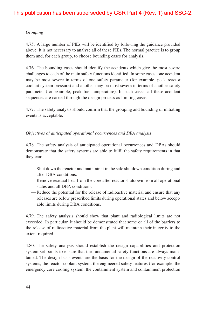### *Grouping*

4.75. A large number of PIEs will be identified by following the guidance provided above. It is not necessary to analyse all of these PIEs. The normal practice is to group them and, for each group, to choose bounding cases for analysis.

4.76. The bounding cases should identify the accidents which give the most severe challenges to each of the main safety functions identified. In some cases, one accident may be most severe in terms of one safety parameter (for example, peak reactor coolant system pressure) and another may be most severe in terms of another safety parameter (for example, peak fuel temperature). In such cases, all these accident sequences are carried through the design process as limiting cases.

4.77. The safety analysis should confirm that the grouping and bounding of initiating events is acceptable.

#### *Objectives of anticipated operational occurrences and DBA analysis*

4.78. The safety analysis of anticipated operational occurrences and DBAs should demonstrate that the safety systems are able to fulfil the safety requirements in that they can:

- Shut down the reactor and maintain it in the safe shutdown condition during and after DBA conditions.
- Remove residual heat from the core after reactor shutdown from all operational states and all DBA conditions.
- Reduce the potential for the release of radioactive material and ensure that any releases are below prescribed limits during operational states and below acceptable limits during DBA conditions.

4.79. The safety analysis should show that plant and radiological limits are not exceeded. In particular, it should be demonstrated that some or all of the barriers to the release of radioactive material from the plant will maintain their integrity to the extent required.

4.80. The safety analysis should establish the design capabilities and protection system set points to ensure that the fundamental safety functions are always maintained. The design basis events are the basis for the design of the reactivity control systems, the reactor coolant system, the engineered safety features (for example, the emergency core cooling system, the containment system and containment protection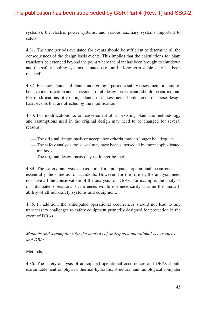systems), the electric power systems, and various auxiliary systems important to safety.

4.81. The time periods evaluated for events should be sufficient to determine all the consequences of the design basis events. This implies that the calculations for plant transients be extended beyond the point where the plant has been brought to shutdown and the safety cooling systems actuated (i.e. until a long term stable state has been reached).

4.82. For new plants and plants undergoing a periodic safety assessment, a comprehensive identification and assessment of all design basis events should be carried out. For modifications of existing plants, the assessment should focus on those design basis events that are affected by the modification.

4.83. For modifications to, or reassessment of, an existing plant, the methodology and assumptions used in the original design may need to be changed for several reasons:

- The original design basis or acceptance criteria may no longer be adequate.
- The safety analysis tools used may have been superseded by more sophisticated methods.
- The original design basis may no longer be met.

4.84. The safety analysis carried out for anticipated operational occurrences is essentially the same as for accidents. However, for the former, the analysis need not have all the conservatism of the analysis for DBAs. For example, the analysis of anticipated operational occurrences would not necessarily assume the unavailability of all non-safety systems and equipment.

4.85. In addition, the anticipated operational occurrences should not lead to any unnecessary challenges to safety equipment primarily designed for protection in the event of DBAs.

*Methods and assumptions for the analysis of anticipated operational occurrences and DBAs*

#### Methods

4.86. The safety analysis of anticipated operational occurrences and DBAs should use suitable neutron physics, thermal-hydraulic, structural and radiological computer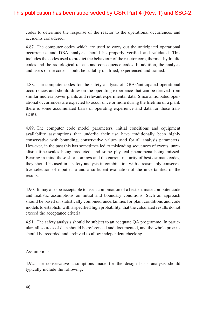codes to determine the response of the reactor to the operational occurrences and accidents considered.

4.87. The computer codes which are used to carry out the anticipated operational occurrences and DBA analysis should be properly verified and validated. This includes the codes used to predict the behaviour of the reactor core, thermal-hydraulic codes and the radiological release and consequence codes. In addition, the analysts and users of the codes should be suitably qualified, experienced and trained.

4.88. The computer codes for the safety analysis of DBAs/anticipated operational occurrences and should draw on the operating experience that can be derived from similar nuclear power plants and relevant experimental data. Since anticipated operational occurrences are expected to occur once or more during the lifetime of a plant, there is some accumulated basis of operating experience and data for these transients.

4.89. The computer code model parameters, initial conditions and equipment availability assumptions that underlie their use have traditionally been highly conservative with bounding, conservative values used for all analysis parameters. However, in the past this has sometimes led to misleading sequences of events, unrealistic time-scales being predicted, and some physical phenomena being missed. Bearing in mind these shortcomings and the current maturity of best estimate codes, they should be used in a safety analysis in combination with a reasonably conservative selection of input data and a sufficient evaluation of the uncertainties of the results.

4.90. It may also be acceptable to use a combination of a best estimate computer code and realistic assumptions on initial and boundary conditions. Such an approach should be based on statistically combined uncertainties for plant conditions and code models to establish, with a specified high probability, that the calculated results do not exceed the acceptance criteria.

4.91. The safety analysis should be subject to an adequate QA programme. In particular, all sources of data should be referenced and documented, and the whole process should be recorded and archived to allow independent checking.

#### Assumptions

4.92. The conservative assumptions made for the design basis analysis should typically include the following: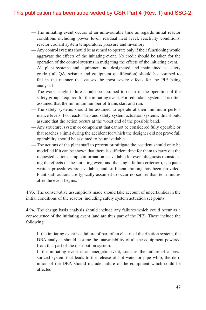- The initiating event occurs at an unfavourable time as regards initial reactor conditions including power level, residual heat level, reactivity conditions, reactor coolant system temperature, pressure and inventory.
- Any control systems should be assumed to operate only if their functioning would aggravate the effects of the initiating event. No credit should be taken for the operation of the control systems in mitigating the effects of the initiating event.
- All plant systems and equipment not designated and maintained as safety grade (full QA, seismic and equipment qualification) should be assumed to fail in the manner that causes the most severe effects for the PIE being analysed.
- The worst single failure should be assumed to occur in the operation of the safety groups required for the initiating event. For redundant systems it is often assumed that the minimum number of trains start and run.
- The safety systems should be assumed to operate at their minimum performance levels. For reactor trip and safety system actuation systems, this should assume that the action occurs at the worst end of the possible band.
- Any structure, system or component that cannot be considered fully operable or that reaches a limit during the accident for which the designer did not prove full operability should be assumed to be unavailable.
- The actions of the plant staff to prevent or mitigate the accident should only be modelled if it can be shown that there is sufficient time for them to carry out the requested actions, ample information is available for event diagnosis (considering the effects of the initiating event and the single failure criterion), adequate written procedures are available, and sufficient training has been provided. Plant staff actions are typically assumed to occur no sooner than ten minutes after the event begins.

4.93. The conservative assumptions made should take account of uncertainties in the initial conditions of the reactor, including safety system actuation set points.

4.94. The design basis analysis should include any failures which could occur as a consequence of the initiating event (and are thus part of the PIE). These include the following:

- If the initiating event is a failure of part of an electrical distribution system, the DBA analysis should assume the unavailability of all the equipment powered from that part of the distribution system.
- If the initiating event is an energetic event, such as the failure of a pressurized system that leads to the release of hot water or pipe whip, the definition of the DBA should include failure of the equipment which could be affected.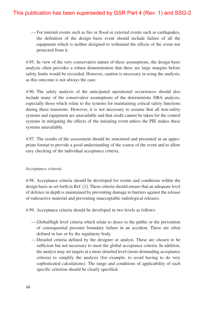— For internal events such as fire or flood or external events such as earthquakes, the definition of the design basis event should include failure of all the equipment which is neither designed to withstand the effects of the event nor protected from it.

4.95. In view of the very conservative nature of these assumptions, the design basis analysis often provides a robust demonstration that there are large margins before safety limits would be exceeded. However, caution is necessary in using the analysis, as this outcome is not always the case.

4.96. The safety analysis of the anticipated operational occurrences should also include many of the conservative assumptions of the deterministic DBA analysis, especially those which relate to the systems for maintaining critical safety functions during these transients. However, it is not necessary to assume that all non-safety systems and equipment are unavailable and that credit cannot be taken for the control systems in mitigating the effects of the initiating event unless the PIE makes these systems unavailable.

4.97. The results of the assessment should be structured and presented in an appropriate format to provide a good understanding of the course of the event and to allow easy checking of the individual acceptance criteria.

#### *Acceptance criteria*

4.98. Acceptance criteria should be developed for events and conditions within the design basis as set forth in Ref. [1]. These criteria should ensure that an adequate level of defence in depth is maintained by preventing damage to barriers against the release of radioactive material and preventing unacceptable radiological releases.

4.99. Acceptance criteria should be developed in two levels as follows:

- Global/high level criteria which relate to doses to the public or the prevention of consequential pressure boundary failure in an accident. These are often defined in law or by the regulatory body.
- Detailed criteria defined by the designer or analyst. These are chosen to be sufficient but not necessary to meet the global acceptance criteria. In addition, the analyst may set targets at a more detailed level (more demanding acceptance criteria) to simplify the analysis (for example, to avoid having to do very sophisticated calculations). The range and conditions of applicability of each specific criterion should be clearly specified.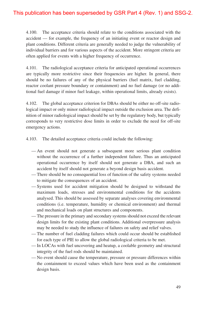4.100. The acceptance criteria should relate to the conditions associated with the accident — for example, the frequency of an initiating event or reactor design and plant conditions. Different criteria are generally needed to judge the vulnerability of individual barriers and for various aspects of the accident. More stringent criteria are often applied for events with a higher frequency of occurrence.

4.101. The radiological acceptance criteria for anticipated operational occurrences are typically more restrictive since their frequencies are higher. In general, there should be no failures of any of the physical barriers (fuel matrix, fuel cladding, reactor coolant pressure boundary or containment) and no fuel damage (or no additional fuel damage if minor fuel leakage, within operational limits, already exists).

4.102. The global acceptance criterion for DBAs should be either no off-site radiological impact or only minor radiological impact outside the exclusion area. The definition of minor radiological impact should be set by the regulatory body, but typically corresponds to very restrictive dose limits in order to exclude the need for off-site emergency actions.

4.103. The detailed acceptance criteria could include the following:

- An event should not generate a subsequent more serious plant condition without the occurrence of a further independent failure. Thus an anticipated operational occurrence by itself should not generate a DBA, and such an accident by itself should not generate a beyond design basis accident.
- There should be no consequential loss of function of the safety systems needed to mitigate the consequences of an accident.
- Systems used for accident mitigation should be designed to withstand the maximum loads, stresses and environmental conditions for the accidents analysed. This should be assessed by separate analyses covering environmental conditions (i.e. temperature, humidity or chemical environment) and thermal and mechanical loads on plant structures and components.
- The pressure in the primary and secondary systems should not exceed the relevant design limits for the existing plant conditions. Additional overpressure analysis may be needed to study the influence of failures on safety and relief valves.
- The number of fuel cladding failures which could occur should be established for each type of PIE to allow the global radiological criteria to be met.
- In LOCAs with fuel uncovering and heatup, a coolable geometry and structural integrity of the fuel rods should be maintained.
- No event should cause the temperature, pressure or pressure differences within the containment to exceed values which have been used as the containment design basis.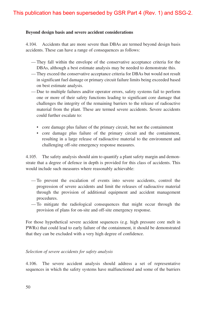#### **Beyond design basis and severe accident considerations**

4.104. Accidents that are more severe than DBAs are termed beyond design basis accidents. These can have a range of consequences as follows:

- They fall within the envelope of the conservative acceptance criteria for the DBAs, although a best estimate analysis may be needed to demonstrate this.
- They exceed the conservative acceptance criteria for DBAs but would not result in significant fuel damage or primary circuit failure limits being exceeded based on best estimate analysis.
- Due to multiple failures and/or operator errors, safety systems fail to perform one or more of their safety functions leading to significant core damage that challenges the integrity of the remaining barriers to the release of radioactive material from the plant. These are termed severe accidents. Severe accidents could further escalate to:
	- core damage plus failure of the primary circuit, but not the containment
	- core damage plus failure of the primary circuit and the containment, resulting in a large release of radioactive material to the environment and challenging off-site emergency response measures.

4.105. The safety analysis should aim to quantify a plant safety margin and demonstrate that a degree of defence in depth is provided for this class of accidents. This would include such measures where reasonably achievable:

- To prevent the escalation of events into severe accidents, control the progression of severe accidents and limit the releases of radioactive material through the provision of additional equipment and accident management procedures.
- To mitigate the radiological consequences that might occur through the provision of plans for on-site and off-site emergency response.

For those hypothetical severe accident sequences (e.g. high pressure core melt in PWRs) that could lead to early failure of the containment, it should be demonstrated that they can be excluded with a very high degree of confidence.

#### *Selection of severe accidents for safety analysis*

4.106. The severe accident analysis should address a set of representative sequences in which the safety systems have malfunctioned and some of the barriers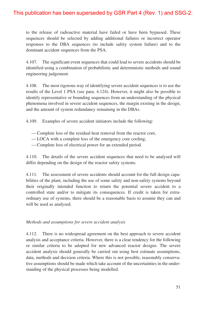to the release of radioactive material have failed or have been bypassed. These sequences should be selected by adding additional failures or incorrect operator responses to the DBA sequences (to include safety system failure) and to the dominant accident sequences from the PSA.

4.107. The significant event sequences that could lead to severe accidents should be identified using a combination of probabilistic and deterministic methods and sound engineering judgement.

4.108. The most rigorous way of identifying severe accident sequences is to use the results of the Level 1 PSA (see para. 4.124). However, it might also be possible to identify representative or bounding sequences from an understanding of the physical phenomena involved in severe accident sequences, the margin existing in the design, and the amount of system redundancy remaining in the DBAs.

4.109. Examples of severe accident initiators include the following:

- Complete loss of the residual heat removal from the reactor core,
- LOCA with a complete loss of the emergency core cooling,

— Complete loss of electrical power for an extended period.

4.110. The details of the severe accident sequences that need to be analysed will differ depending on the design of the reactor safety systems.

4.111. The assessment of severe accidents should account for the full design capabilities of the plant, including the use of some safety and non-safety systems beyond their originally intended function to return the potential severe accident to a controlled state and/or to mitigate its consequences. If credit is taken for extraordinary use of systems, there should be a reasonable basis to assume they can and will be used as analysed.

#### *Methods and assumptions for severe accident analysis*

4.112. There is no widespread agreement on the best approach to severe accident analysis and acceptance criteria. However, there is a clear tendency for the following or similar criteria to be adopted for new advanced reactor designs. The severe accident analysis should generally be carried out using best estimate assumptions, data, methods and decision criteria. Where this is not possible, reasonably conservative assumptions should be made which take account of the uncertainties in the understanding of the physical processes being modelled.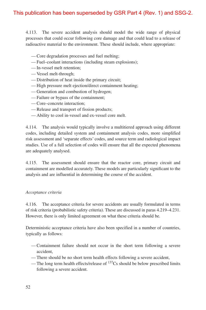4.113. The severe accident analysis should model the wide range of physical processes that could occur following core damage and that could lead to a release of radioactive material to the environment. These should include, where appropriate:

- Core degradation processes and fuel melting;
- Fuel–coolant interactions (including steam explosions);
- In-vessel melt retention;
- Vessel melt-through;
- Distribution of heat inside the primary circuit;
- High pressure melt ejection/direct containment heating;
- Generation and combustion of hydrogen;
- Failure or bypass of the containment;
- Core–concrete interaction;
- Release and transport of fission products;
- Ability to cool in-vessel and ex-vessel core melt.

4.114. The analysis would typically involve a multitiered approach using different codes, including detailed system and containment analysis codes, more simplified risk assessment and 'separate effects' codes, and source term and radiological impact studies. Use of a full selection of codes will ensure that all the expected phenomena are adequately analysed.

4.115. The assessment should ensure that the reactor core, primary circuit and containment are modelled accurately. These models are particularly significant to the analysis and are influential in determining the course of the accident.

#### *Acceptance criteria*

4.116. The acceptance criteria for severe accidents are usually formulated in terms of risk criteria (probabilistic safety criteria). These are discussed in paras 4.219–4.231. However, there is only limited agreement on what these criteria should be.

Deterministic acceptance criteria have also been specified in a number of countries, typically as follows:

- Containment failure should not occur in the short term following a severe accident,
- There should be no short term health effects following a severe accident,
- The long term health effects/release of  $137Cs$  should be below prescribed limits following a severe accident.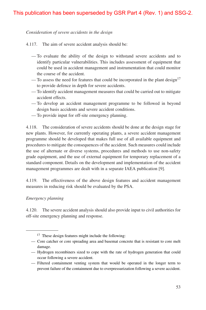### *Consideration of severe accidents in the design*

4.117. The aim of severe accident analysis should be:

- To evaluate the ability of the design to withstand severe accidents and to identify particular vulnerabilities. This includes assessment of equipment that could be used in accident management and instrumentation that could monitor the course of the accident.
- To assess the need for features that could be incorporated in the plant design<sup>17</sup> to provide defence in depth for severe accidents.
- To identify accident management measures that could be carried out to mitigate accident effects.
- To develop an accident management programme to be followed in beyond design basis accidents and severe accident conditions.
- To provide input for off-site emergency planning.

4.118. The consideration of severe accidents should be done at the design stage for new plants. However, for currently operating plants, a severe accident management programme should be developed that makes full use of all available equipment and procedures to mitigate the consequences of the accident. Such measures could include the use of alternate or diverse systems, procedures and methods to use non-safety grade equipment, and the use of external equipment for temporary replacement of a standard component. Details on the development and implementation of the accident management programmes are dealt with in a separate IAEA publication [9].

4.119. The effectiveness of the above design features and accident management measures in reducing risk should be evaluated by the PSA.

#### *Emergency planning*

4.120. The severe accident analysis should also provide input to civil authorities for off-site emergency planning and response.

<sup>&</sup>lt;sup>17</sup> These design features might include the following:

<sup>—</sup> Core catcher or core spreading area and basemat concrete that is resistant to core melt damage.

<sup>—</sup> Hydrogen recombiners sized to cope with the rate of hydrogen generation that could occur following a severe accident.

<sup>—</sup> Filtered containment venting system that would be operated in the longer term to prevent failure of the containment due to overpressurization following a severe accident.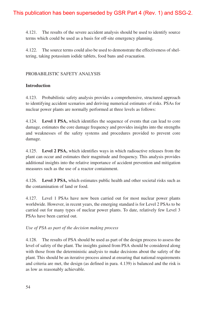4.121. The results of the severe accident analysis should be used to identify source terms which could be used as a basis for off-site emergency planning.

4.122. The source terms could also be used to demonstrate the effectiveness of sheltering, taking potassium iodide tablets, food bans and evacuation.

### PROBABILISTIC SAFETY ANALYSIS

#### **Introduction**

4.123. Probabilistic safety analysis provides a comprehensive, structured approach to identifying accident scenarios and deriving numerical estimates of risks. PSAs for nuclear power plants are normally performed at three levels as follows:

4.124. **Level 1 PSA,** which identifies the sequence of events that can lead to core damage, estimates the core damage frequency and provides insights into the strengths and weaknesses of the safety systems and procedures provided to prevent core damage.

4.125. **Level 2 PSA,** which identifies ways in which radioactive releases from the plant can occur and estimates their magnitude and frequency. This analysis provides additional insights into the relative importance of accident prevention and mitigation measures such as the use of a reactor containment.

4.126. **Level 3 PSA,** which estimates public health and other societal risks such as the contamination of land or food.

4.127. Level 1 PSAs have now been carried out for most nuclear power plants worldwide. However, in recent years, the emerging standard is for Level 2 PSAs to be carried out for many types of nuclear power plants. To date, relatively few Level 3 PSAs have been carried out.

### *Use of PSA as part of the decision making process*

4.128. The results of PSA should be used as part of the design process to assess the level of safety of the plant. The insights gained from PSA should be considered along with those from the deterministic analysis to make decisions about the safety of the plant. This should be an iterative process aimed at ensuring that national requirements and criteria are met, the design (as defined in para. 4.139) is balanced and the risk is as low as reasonably achievable.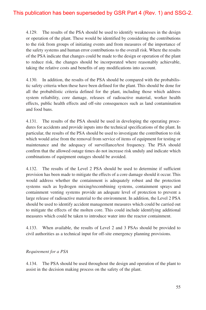4.129. The results of the PSA should be used to identify weaknesses in the design or operation of the plant. These would be identified by considering the contributions to the risk from groups of initiating events and from measures of the importance of the safety systems and human error contributions to the overall risk. Where the results of the PSA indicate that changes could be made to the design or operation of the plant to reduce risk, the changes should be incorporated where reasonably achievable, taking the relative costs and benefits of any modifications into account.

4.130. In addition, the results of the PSA should be compared with the probabilistic safety criteria when these have been defined for the plant. This should be done for all the probabilistic criteria defined for the plant, including those which address system reliability, core damage, releases of radioactive material, worker health effects, public health effects and off-site consequences such as land contamination and food bans.

4.131. The results of the PSA should be used in developing the operating procedures for accidents and provide inputs into the technical specifications of the plant. In particular, the results of the PSA should be used to investigate the contribution to risk which would arise from the removal from service of items of equipment for testing or maintenance and the adequacy of surveillance/test frequency. The PSA should confirm that the allowed outage times do not increase risk unduly and indicate which combinations of equipment outages should be avoided.

4.132. The results of the Level 2 PSA should be used to determine if sufficient provision has been made to mitigate the effects of a core damage should it occur. This would address whether the containment is adequately robust and the protection systems such as hydrogen mixing/recombining systems, containment sprays and containment venting systems provide an adequate level of protection to prevent a large release of radioactive material to the environment. In addition, the Level 2 PSA should be used to identify accident management measures which could be carried out to mitigate the effects of the molten core. This could include identifying additional measures which could be taken to introduce water into the reactor containment.

4.133. When available, the results of Level 2 and 3 PSAs should be provided to civil authorities as a technical input for off-site emergency planning provisions.

#### *Requirement for a PSA*

4.134. The PSA should be used throughout the design and operation of the plant to assist in the decision making process on the safety of the plant.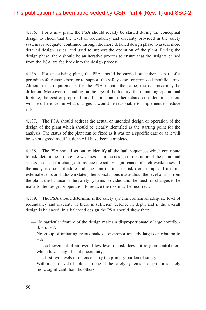4.135. For a new plant, the PSA should ideally be started during the conceptual design to check that the level of redundancy and diversity provided in the safety systems is adequate, continued through the more detailed design phase to assess more detailed design issues, and used to support the operation of the plant. During the design phase, there should be an iterative process to ensure that the insights gained from the PSA are fed back into the design process.

4.136. For an existing plant, the PSA should be carried out either as part of a periodic safety assessment or to support the safety case for proposed modifications. Although the requirements for the PSA remain the same, the database may be different. Moreover, depending on the age of the facility, the remaining operational lifetime, the cost of proposed modifications and other related considerations, there will be differences in what changes it would be reasonable to implement to reduce risk.

4.137. The PSA should address the actual or intended design or operation of the design of the plant which should be clearly identified as the starting point for the analysis. The status of the plant can be fixed as it was on a specific date or as it will be when agreed modifications will have been completed.

4.138. The PSA should set out to: identify all the fault sequences which contribute to risk; determine if there are weaknesses in the design or operation of the plant; and assess the need for changes to reduce the safety significance of such weaknesses. If the analysis does not address all the contributions to risk (for example, if it omits external events or shutdown states) then conclusions made about the level of risk from the plant, the balance of the safety systems provided and the need for changes to be made to the design or operation to reduce the risk may be incorrect.

4.139. The PSA should determine if the safety systems contain an adequate level of redundancy and diversity, if there is sufficient defence in depth and if the overall design is balanced. In a balanced design the PSA should show that:

- No particular feature of the design makes a disproportionately large contribution to risk;
- No group of initiating events makes a disproportionately large contribution to risk;
- The achievement of an overall low level of risk does not rely on contributors which have a significant uncertainty;
- The first two levels of defence carry the primary burden of safety;
- Within each level of defence, none of the safety systems is disproportionately more significant than the others.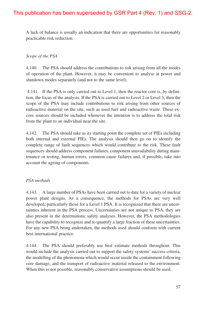A lack of balance is usually an indication that there are opportunities for reasonably practicable risk reduction.

#### *Scope of the PSA*

4.140. The PSA should address the contributions to risk arising from all the modes of operation of the plant. However, it may be convenient to analyse at power and shutdown modes separately (and not to the same level).

4.141. If the PSA is only carried out to Level 1, then the reactor core is, by definition, the focus of the analysis. If the PSA is carried out to Level 2 or Level 3, then the scope of the PSA may include contributions to risk arising from other sources of radioactive material on the site, such as used fuel and radioactive waste. These excore sources should be included whenever the intention is to address the total risk from the plant to an individual near the site.

4.142. The PSA should take as its starting point the complete set of PIEs including both internal and external PIEs. The analysis should then go on to identify the complete range of fault sequences which would contribute to the risk. These fault sequences should address component failures, component unavailability during maintenance or testing, human errors, common cause failures and, if possible, take into account the ageing of components.

#### *PSA methods*

4.143. A large number of PSAs have been carried out to date for a variety of nuclear power plant designs. As a consequence, the methods for PSAs are very well developed, particularly those for a Level 1 PSA. It is recognized that there are uncertainties inherent in the PSA process. Uncertainties are not unique to PSA, they are also present in the deterministic safety analyses. However, the PSA methodologies have the capability to recognize and to quantify a large fraction of these uncertainties. For any new PSA being undertaken, the methods used should conform with current best international practice.

4.144. The PSA should preferably use best estimate methods throughout. This would include the analysis carried out to support the safety systems' success criteria, the modelling of the phenomena which would occur inside the containment following core damage, and the transport of radioactive material released to the environment. When this is not possible, reasonably conservative assumptions should be used.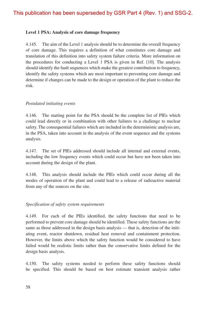#### **Level 1 PSA: Analysis of core damage frequency**

4.145. The aim of the Level 1 analysis should be to determine the overall frequency of core damage. This requires a definition of what constitutes core damage and translation of this definition into safety system failure criteria. More information on the procedures for conducting a Level 1 PSA is given in Ref. [10]. The analysis should identify the fault sequences which make the greatest contribution to frequency, identify the safety systems which are most important to preventing core damage and determine if changes can be made to the design or operation of the plant to reduce the risk.

#### *Postulated initiating events*

4.146. The starting point for the PSA should be the complete list of PIEs which could lead directly or in combination with other failures to a challenge to nuclear safety. The consequential failures which are included in the deterministic analysis are, in the PSA, taken into account in the analysis of the event sequence and the systems analysis.

4.147. The set of PIEs addressed should include all internal and external events, including the low frequency events which could occur but have not been taken into account during the design of the plant.

4.148. This analysis should include the PIEs which could occur during all the modes of operation of the plant and could lead to a release of radioactive material from any of the sources on the site.

#### *Specification of safety system requirements*

4.149. For each of the PIEs identified, the safety functions that need to be performed to prevent core damage should be identified. These safety functions are the same as those addressed in the design basis analysis — that is, detection of the initiating event, reactor shutdown, residual heat removal and containment protection. However, the limits above which the safety function would be considered to have failed would be realistic limits rather than the conservative limits defined for the design basis analysis.

4.150. The safety systems needed to perform these safety functions should be specified. This should be based on best estimate transient analysis rather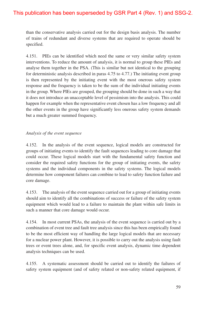than the conservative analysis carried out for the design basis analysis. The number of trains of redundant and diverse systems that are required to operate should be specified.

4.151. PIEs can be identified which need the same or very similar safety system interventions. To reduce the amount of analysis, it is normal to group these PIEs and analyse them together in the PSA. (This is similar but not identical to the grouping for deterministic analysis described in paras 4.75 to 4.77.) The initiating event group is then represented by the initiating event with the most onerous safety system response and the frequency is taken to be the sum of the individual initiating events in the group. Where PIEs are grouped, the grouping should be done in such a way that it does not introduce an unacceptable level of pessimism into the analysis. This could happen for example when the representative event chosen has a low frequency and all the other events in the group have significantly less onerous safety system demands but a much greater summed frequency.

### *Analysis of the event sequence*

4.152. In the analysis of the event sequence, logical models are constructed for groups of initiating events to identify the fault sequences leading to core damage that could occur. These logical models start with the fundamental safety function and consider the required safety functions for the group of initiating events, the safety systems and the individual components in the safety systems. The logical models determine how component failures can combine to lead to safety function failure and core damage.

4.153. The analysis of the event sequence carried out for a group of initiating events should aim to identify all the combinations of success or failure of the safety system equipment which would lead to a failure to maintain the plant within safe limits in such a manner that core damage would occur.

4.154. In most current PSAs, the analysis of the event sequence is carried out by a combination of event tree and fault tree analysis since this has been empirically found to be the most efficient way of handling the large logical models that are necessary for a nuclear power plant. However, it is possible to carry out the analysis using fault trees or event trees alone, and, for specific event analysis, dynamic time dependent analysis techniques can be used.

4.155. A systematic assessment should be carried out to identify the failures of safety system equipment (and of safety related or non-safety related equipment, if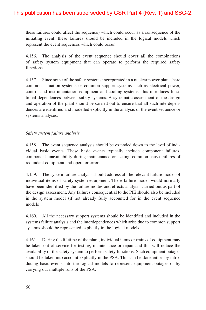these failures could affect the sequence) which could occur as a consequence of the initiating event; these failures should be included in the logical models which represent the event sequences which could occur.

4.156. The analysis of the event sequence should cover all the combinations of safety system equipment that can operate to perform the required safety functions.

4.157. Since some of the safety systems incorporated in a nuclear power plant share common actuation systems or common support systems such as electrical power, control and instrumentation equipment and cooling systems, this introduces functional dependences between safety systems. A systematic assessment of the design and operation of the plant should be carried out to ensure that all such interdependences are identified and modelled explicitly in the analysis of the event sequence or systems analyses.

#### *Safety system failure analysis*

4.158. The event sequence analysis should be extended down to the level of individual basic events. These basic events typically include component failures, component unavailability during maintenance or testing, common cause failures of redundant equipment and operator errors.

4.159. The system failure analysis should address all the relevant failure modes of individual items of safety system equipment. These failure modes would normally have been identified by the failure modes and effects analysis carried out as part of the design assessment. Any failures consequential to the PIE should also be included in the system model (if not already fully accounted for in the event sequence models).

4.160. All the necessary support systems should be identified and included in the systems failure analysis and the interdependences which arise due to common support systems should be represented explicitly in the logical models.

4.161. During the lifetime of the plant, individual items or trains of equipment may be taken out of service for testing, maintenance or repair and this will reduce the availability of the safety system to perform safety functions. Such equipment outages should be taken into account explicitly in the PSA. This can be done either by introducing basic events into the logical models to represent equipment outages or by carrying out multiple runs of the PSA.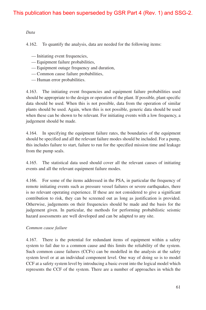#### *Data*

4.162. To quantify the analysis, data are needed for the following items:

- Initiating event frequencies,
- Equipment failure probabilities,
- Equipment outage frequency and duration,
- Common cause failure probabilities,
- Human error probabilities.

4.163. The initiating event frequencies and equipment failure probabilities used should be appropriate to the design or operation of the plant. If possible, plant specific data should be used. When this is not possible, data from the operation of similar plants should be used. Again, when this is not possible, generic data should be used when these can be shown to be relevant. For initiating events with a low frequency, a judgement should be made.

4.164. In specifying the equipment failure rates, the boundaries of the equipment should be specified and all the relevant failure modes should be included. For a pump, this includes failure to start, failure to run for the specified mission time and leakage from the pump seals.

4.165. The statistical data used should cover all the relevant causes of initiating events and all the relevant equipment failure modes.

4.166. For some of the items addressed in the PSA, in particular the frequency of remote initiating events such as pressure vessel failures or severe earthquakes, there is no relevant operating experience. If these are not considered to give a significant contribution to risk, they can be screened out as long as justification is provided. Otherwise, judgements on their frequencies should be made and the basis for the judgement given. In particular, the methods for performing probabilistic seismic hazard assessments are well developed and can be adapted to any site.

#### *Common cause failure*

4.167. There is the potential for redundant items of equipment within a safety system to fail due to a common cause and this limits the reliability of the system. Such common cause failures (CCFs) can be modelled in the analysis at the safety system level or at an individual component level. One way of doing so is to model CCF at a safety system level by introducing a basic event into the logical model which represents the CCF of the system. There are a number of approaches in which the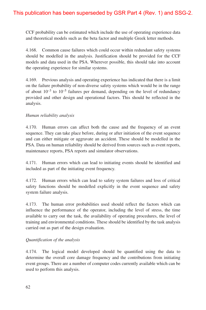CCF probability can be estimated which include the use of operating experience data and theoretical models such as the beta factor and multiple Greek letter methods.

4.168. Common cause failures which could occur within redundant safety systems should be modelled in the analysis. Justification should be provided for the CCF models and data used in the PSA. Wherever possible, this should take into account the operating experience for similar systems.

4.169. Previous analysis and operating experience has indicated that there is a limit on the failure probability of non-diverse safety systems which would be in the range of about  $10^{-3}$  to  $10^{-5}$  failures per demand, depending on the level of redundancy provided and other design and operational factors. This should be reflected in the analysis.

### *Human reliability analysis*

4.170. Human errors can affect both the cause and the frequency of an event sequence. They can take place before, during or after initiation of the event sequence and can either mitigate or aggravate an accident. These should be modelled in the PSA. Data on human reliability should be derived from sources such as event reports, maintenance reports, PSA reports and simulator observations.

4.171. Human errors which can lead to initiating events should be identified and included as part of the initiating event frequency.

4.172. Human errors which can lead to safety system failures and loss of critical safety functions should be modelled explicitly in the event sequence and safety system failure analysis.

4.173. The human error probabilities used should reflect the factors which can influence the performance of the operator, including the level of stress, the time available to carry out the task, the availability of operating procedures, the level of training and environmental conditions. These should be identified by the task analysis carried out as part of the design evaluation.

### *Quantification of the analysis*

4.174. The logical model developed should be quantified using the data to determine the overall core damage frequency and the contributions from initiating event groups. There are a number of computer codes currently available which can be used to perform this analysis.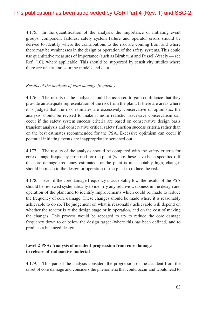4.175. In the quantification of the analysis, the importance of initiating event groups, component failures, safety system failure and operator errors should be derived to identify where the contributions to the risk are coming from and where there may be weaknesses in the design or operation of the safety systems. This could use quantitative measures of importance (such as Birnbaum and Fussell-Vesely — see Ref. [10]) where applicable. This should be supported by sensitivity studies where there are uncertainties in the models and data.

### *Results of the analysis of core damage frequency*

4.176. The results of the analysis should be assessed to gain confidence that they provide an adequate representation of the risk from the plant. If there are areas where it is judged that the risk estimates are excessively conservative or optimistic, the analysis should be revised to make it more realistic. Excessive conservatism can occur if the safety system success criteria are based on conservative design basis transient analysis and conservative critical safety function success criteria rather than on the best estimates recommended for the PSA. Excessive optimism can occur if potential initiating events are inappropriately screened out.

4.177. The results of the analysis should be compared with the safety criteria for core damage frequency proposed for the plant (where these have been specified). If the core damage frequency estimated for the plant is unacceptably high, changes should be made to the design or operation of the plant to reduce the risk.

4.178. Even if the core damage frequency is acceptably low, the results of the PSA should be reviewed systematically to identify any relative weakness in the design and operation of the plant and to identify improvements which could be made to reduce the frequency of core damage. These changes should be made where it is reasonably achievable to do so. The judgement on what is reasonably achievable will depend on whether the reactor is at the design stage or in operation, and on the cost of making the changes. This process would be repeated to try to reduce the core damage frequency down to or below the design target (where this has been defined) and to produce a balanced design.

### **Level 2 PSA: Analysis of accident progression from core damage to release of radioactive material**

4.179. This part of the analysis considers the progression of the accident from the onset of core damage and considers the phenomena that could occur and would lead to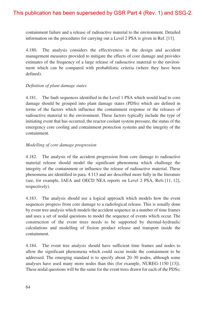containment failure and a release of radioactive material to the environment. Detailed information on the procedures for carrying out a Level 2 PSA is given in Ref. [11].

4.180. The analysis considers the effectiveness in the design and accident management measures provided to mitigate the effects of core damage and provides estimates of the frequency of a large release of radioactive material to the environment which can be compared with probabilistic criteria (where they have been defined).

### *Definition of plant damage states*

4.181. The fault sequences identified in the Level 1 PSA which would lead to core damage should be grouped into plant damage states (PDSs) which are defined in terms of the factors which influence the containment response or the releases of radioactive material to the environment. These factors typically include the type of initiating event that has occurred, the reactor coolant system pressure, the status of the emergency core cooling and containment protection systems and the integrity of the containment.

### *Modelling of core damage progression*

4.182. The analysis of the accident progression from core damage to radioactive material release should model the significant phenomena which challenge the integrity of the containment or influence the release of radioactive material. These phenomena are identified in para. 4.113 and are described more fully in the literature (see, for example, IAEA and OECD NEA reports on Level 2 PSA, Refs [11, 12], respectively).

4.183. The analysis should use a logical approach which models how the event sequences progress from core damage to a radiological release. This is usually done by event tree analysis which models the accident sequence in a number of time frames and uses a set of nodal questions to model the sequence of events which occur. The construction of the event trees needs to be supported by thermal-hydraulic calculations and modelling of fission product release and transport inside the containment.

4.184. The event tree analysis should have sufficient time frames and nodes to allow the significant phenomena which could occur inside the containment to be addressed. The emerging standard is to specify about 20–30 nodes, although some analyses have used many more nodes than this (for example, NUREG-1150 [13]). These nodal questions will be the same for the event trees drawn for each of the PDSs;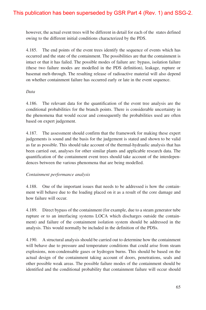however, the actual event trees will be different in detail for each of the states defined owing to the different initial conditions characterized by the PDS.

4.185. The end points of the event trees identify the sequence of events which has occurred and the state of the containment. The possibilities are that the containment is intact or that it has failed. The possible modes of failure are: bypass, isolation failure (these two failure modes are modelled in the PDS definition), leakage, rupture or basemat melt-through. The resulting release of radioactive material will also depend on whether containment failure has occurred early or late in the event sequence.

### *Data*

4.186. The relevant data for the quantification of the event tree analysis are the conditional probabilities for the branch points. There is considerable uncertainty in the phenomena that would occur and consequently the probabilities used are often based on expert judgement.

4.187. The assessment should confirm that the framework for making these expert judgements is sound and the basis for the judgement is stated and shown to be valid as far as possible. This should take account of the thermal-hydraulic analysis that has been carried out, analyses for other similar plants and applicable research data. The quantification of the containment event trees should take account of the interdependences between the various phenomena that are being modelled.

### *Containment performance analysis*

4.188. One of the important issues that needs to be addressed is how the containment will behave due to the loading placed on it as a result of the core damage and how failure will occur.

4.189. Direct bypass of the containment (for example, due to a steam generator tube rupture or to an interfacing systems LOCA which discharges outside the containment) and failure of the containment isolation system should be addressed in the analysis. This would normally be included in the definition of the PDSs.

4.190. A structural analysis should be carried out to determine how the containment will behave due to pressure and temperature conditions that could arise from steam explosions, non-condensable gases or hydrogen burns. This should be based on the actual design of the containment taking account of doors, penetrations, seals and other possible weak areas. The possible failure modes of the containment should be identified and the conditional probability that containment failure will occur should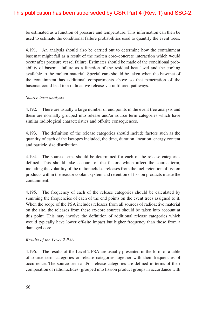be estimated as a function of pressure and temperature. This information can then be used to estimate the conditional failure probabilities used to quantify the event trees.

4.191. An analysis should also be carried out to determine how the containment basemat might fail as a result of the molten core–concrete interaction which would occur after pressure vessel failure. Estimates should be made of the conditional probability of basemat failure as a function of the residual heat level and the cooling available to the molten material. Special care should be taken when the basemat of the containment has additional compartments above so that penetration of the basemat could lead to a radioactive release via unfiltered pathways.

### *Source term analysis*

4.192. There are usually a large number of end points in the event tree analysis and these are normally grouped into release and/or source term categories which have similar radiological characteristics and off-site consequences.

4.193. The definition of the release categories should include factors such as the quantity of each of the isotopes included, the time, duration, location, energy content and particle size distribution.

4.194. The source terms should be determined for each of the release categories defined. This should take account of the factors which affect the source term, including the volatility of the radionuclides, releases from the fuel, retention of fission products within the reactor coolant system and retention of fission products inside the containment.

4.195. The frequency of each of the release categories should be calculated by summing the frequencies of each of the end points on the event trees assigned to it. When the scope of the PSA includes releases from all sources of radioactive material on the site, the releases from these ex-core sources should be taken into account at this point. This may involve the definition of additional release categories which would typically have lower off-site impact but higher frequency than those from a damaged core.

### *Results of the Level 2 PSA*

4.196. The results of the Level 2 PSA are usually presented in the form of a table of source term categories or release categories together with their frequencies of occurrence. The source term and/or release categories are defined in terms of their composition of radionuclides (grouped into fission product groups in accordance with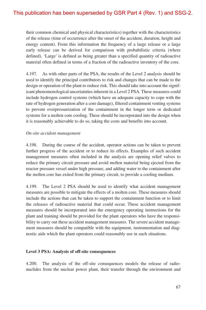their common chemical and physical characteristics) together with the characteristics of the release (time of occurrence after the onset of the accident, duration, height and energy content). From this information the frequency of a large release or a large early release can be derived for comparison with probabilistic criteria (where defined). 'Large' is defined as being greater than a specified quantity of radioactive material often defined in terms of a fraction of the radioactive inventory of the core.

4.197. As with other parts of the PSA, the results of the Level 2 analysis should be used to identify the principal contributors to risk and changes that can be made to the design or operation of the plant to reduce risk. This should take into account the significant phenomenological uncertainties inherent in a Level 2 PSA. These measures could include hydrogen control systems (which have an adequate capacity to cope with the rate of hydrogen generation after a core damage), filtered containment venting systems to prevent overpressurization of the containment in the longer term or dedicated systems for a molten core cooling. These should be incorporated into the design when it is reasonably achievable to do so, taking the costs and benefits into account.

#### *On-site accident management*

4.198. During the course of the accident, operator actions can be taken to prevent further progress of the accident or to reduce its effects. Examples of such accident management measures often included in the analysis are opening relief valves to reduce the primary circuit pressure and avoid molten material being ejected from the reactor pressure vessel under high pressure, and adding water to the containment after the molten core has exited from the primary circuit, to provide a cooling medium.

4.199. The Level 2 PSA should be used to identify what accident management measures are possible to mitigate the effects of a molten core. These measures should include the actions that can be taken to support the containment function or to limit the releases of radioactive material that could occur. These accident management measures should be incorporated into the emergency operating instructions for the plant and training should be provided for the plant operators who have the responsibility to carry out these accident management measures. The severe accident management measures should be compatible with the equipment, instrumentation and diagnostic aids which the plant operators could reasonably use in such situations.

#### **Level 3 PSA: Analysis of off-site consequences**

4.200. The analysis of the off-site consequences models the release of radionuclides from the nuclear power plant, their transfer through the environment and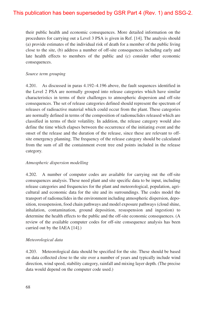their public health and economic consequences. More detailed information on the procedures for carrying out a Level 3 PSA is given in Ref. [14]. The analysis should (a) provide estimates of the individual risk of death for a member of the public living close to the site, (b) address a number of off-site consequences including early and late health effects to members of the public and (c) consider other economic consequences.

#### *Source term grouping*

4.201. As discussed in paras 4.192–4.196 above, the fault sequences identified in the Level 2 PSA are normally grouped into release categories which have similar characteristics in terms of their challenges to atmospheric dispersion and off-site consequences. The set of release categories defined should represent the spectrum of releases of radioactive material which could occur from the plant. These categories are normally defined in terms of the composition of radionuclides released which are classified in terms of their volatility. In addition, the release category would also define the time which elapses between the occurrence of the initiating event and the onset of the release and the duration of the release, since these are relevant to offsite emergency planning. The frequency of the release category should be calculated from the sum of all the containment event tree end points included in the release category.

#### *Atmospheric dispersion modelling*

4.202. A number of computer codes are available for carrying out the off-site consequences analysis. These need plant and site specific data to be input, including release categories and frequencies for the plant and meteorological, population, agricultural and economic data for the site and its surroundings. The codes model the transport of radionuclides in the environment including atmospheric dispersion, deposition, resuspension, food chain pathways and model exposure pathways (cloud shine, inhalation, contamination, ground deposition, resuspension and ingestion) to determine the health effects to the public and the off-site economic consequences. (A review of the available computer codes for off-site consequence analysis has been carried out by the IAEA [14].)

#### *Meteorological data*

4.203. Meteorological data should be specified for the site. These should be based on data collected close to the site over a number of years and typically include wind direction, wind speed, stability category, rainfall and mixing layer depth. (The precise data would depend on the computer code used.)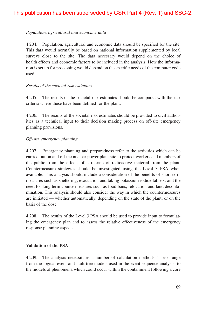### *Population, agricultural and economic data*

4.204. Population, agricultural and economic data should be specified for the site. This data would normally be based on national information supplemented by local surveys close to the site. The data necessary would depend on the choice of health effects and economic factors to be included in the analysis. How the information is set up for processing would depend on the specific needs of the computer code used.

#### *Results of the societal risk estimates*

4.205. The results of the societal risk estimates should be compared with the risk criteria where these have been defined for the plant.

4.206. The results of the societal risk estimates should be provided to civil authorities as a technical input to their decision making process on off-site emergency planning provisions.

### *Off-site emergency planning*

4.207. Emergency planning and preparedness refer to the activities which can be carried out on and off the nuclear power plant site to protect workers and members of the public from the effects of a release of radioactive material from the plant. Countermeasure strategies should be investigated using the Level 3 PSA when available. This analysis should include a consideration of the benefits of short term measures such as sheltering, evacuation and taking potassium iodide tablets; and the need for long term countermeasures such as food bans, relocation and land decontamination. This analysis should also consider the way in which the countermeasures are initiated — whether automatically, depending on the state of the plant, or on the basis of the dose.

4.208. The results of the Level 3 PSA should be used to provide input to formulating the emergency plan and to assess the relative effectiveness of the emergency response planning aspects.

### **Validation of the PSA**

4.209. The analysis necessitates a number of calculation methods. These range from the logical event and fault tree models used in the event sequence analysis, to the models of phenomena which could occur within the containment following a core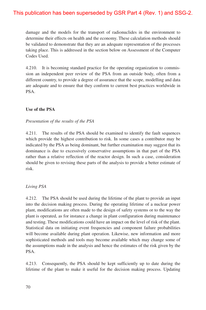damage and the models for the transport of radionuclides in the environment to determine their effects on health and the economy. These calculation methods should be validated to demonstrate that they are an adequate representation of the processes taking place. This is addressed in the section below on Assessment of the Computer Codes Used.

4.210. It is becoming standard practice for the operating organization to commission an independent peer review of the PSA from an outside body, often from a different country, to provide a degree of assurance that the scope, modelling and data are adequate and to ensure that they conform to current best practices worldwide in PSA.

#### **Use of the PSA**

#### *Presentation of the results of the PSA*

4.211. The results of the PSA should be examined to identify the fault sequences which provide the highest contribution to risk. In some cases a contributor may be indicated by the PSA as being dominant, but further examination may suggest that its dominance is due to excessively conservative assumptions in that part of the PSA rather than a relative reflection of the reactor design. In such a case, consideration should be given to revising these parts of the analysis to provide a better estimate of risk.

#### *Living PSA*

4.212. The PSA should be used during the lifetime of the plant to provide an input into the decision making process. During the operating lifetime of a nuclear power plant, modifications are often made to the design of safety systems or to the way the plant is operated, as for instance a change in plant configuration during maintenance and testing. These modifications could have an impact on the level of risk of the plant. Statistical data on initiating event frequencies and component failure probabilities will become available during plant operation. Likewise, new information and more sophisticated methods and tools may become available which may change some of the assumptions made in the analysis and hence the estimates of the risk given by the PSA.

4.213. Consequently, the PSA should be kept sufficiently up to date during the lifetime of the plant to make it useful for the decision making process. Updating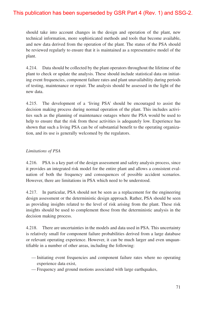should take into account changes in the design and operation of the plant, new technical information, more sophisticated methods and tools that become available, and new data derived from the operation of the plant. The status of the PSA should be reviewed regularly to ensure that it is maintained as a representative model of the plant.

4.214. Data should be collected by the plant operators throughout the lifetime of the plant to check or update the analysis. These should include statistical data on initiating event frequencies, component failure rates and plant unavailability during periods of testing, maintenance or repair. The analysis should be assessed in the light of the new data.

4.215. The development of a 'living PSA' should be encouraged to assist the decision making process during normal operation of the plant. This includes activities such as the planning of maintenance outages where the PSA would be used to help to ensure that the risk from these activities is adequately low. Experience has shown that such a living PSA can be of substantial benefit to the operating organization, and its use is generally welcomed by the regulators.

### *Limitations of PSA*

4.216. PSA is a key part of the design assessment and safety analysis process, since it provides an integrated risk model for the entire plant and allows a consistent evaluation of both the frequency and consequences of possible accident scenarios. However, there are limitations in PSA which need to be understood.

4.217. In particular, PSA should not be seen as a replacement for the engineering design assessment or the deterministic design approach. Rather, PSA should be seen as providing insights related to the level of risk arising from the plant. These risk insights should be used to complement those from the deterministic analysis in the decision making process.

4.218. There are uncertainties in the models and data used in PSA. This uncertainty is relatively small for component failure probabilities derived from a large database or relevant operating experience. However, it can be much larger and even unquantifiable in a number of other areas, including the following:

- Initiating event frequencies and component failure rates where no operating experience data exist,
- Frequency and ground motions associated with large earthquakes,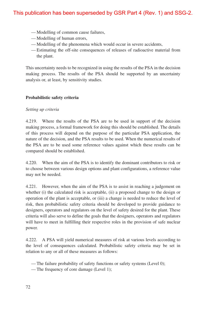- Modelling of common cause failures,
- Modelling of human errors,
- Modelling of the phenomena which would occur in severe accidents,
- Estimating the off-site consequences of releases of radioactive material from the plant.

This uncertainty needs to be recognized in using the results of the PSA in the decision making process. The results of the PSA should be supported by an uncertainty analysis or, at least, by sensitivity studies.

#### **Probabilistic safety criteria**

#### *Setting up criteria*

4.219. Where the results of the PSA are to be used in support of the decision making process, a formal framework for doing this should be established. The details of this process will depend on the purpose of the particular PSA application, the nature of the decision, and the PSA results to be used. When the numerical results of the PSA are to be used some reference values against which these results can be compared should be established.

4.220. When the aim of the PSA is to identify the dominant contributors to risk or to choose between various design options and plant configurations, a reference value may not be needed.

4.221. However, when the aim of the PSA is to assist in reaching a judgement on whether (i) the calculated risk is acceptable, (ii) a proposed change to the design or operation of the plant is acceptable, or (iii) a change is needed to reduce the level of risk, then probabilistic safety criteria should be developed to provide guidance to designers, operators and regulators on the level of safety desired for the plant. These criteria will also serve to define the goals that the designers, operators and regulators will have to meet in fulfilling their respective roles in the provision of safe nuclear power.

4.222. A PSA will yield numerical measures of risk at various levels according to the level of consequences calculated. Probabilistic safety criteria may be set in relation to any or all of these measures as follows:

— The failure probability of safety functions or safety systems (Level 0);

— The frequency of core damage (Level 1);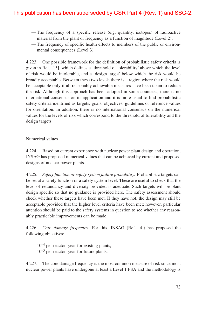- The frequency of a specific release (e.g. quantity, isotopes) of radioactive material from the plant or frequency as a function of magnitude (Level 2);
- The frequency of specific health effects to members of the public or environmental consequences (Level 3).

4.223. One possible framework for the definition of probabilistic safety criteria is given in Ref. [15], which defines a 'threshold of tolerability' above which the level of risk would be intolerable, and a 'design target' below which the risk would be broadly acceptable. Between these two levels there is a region where the risk would be acceptable only if all reasonably achievable measures have been taken to reduce the risk. Although this approach has been adopted in some countries, there is no international consensus on its application and it is more usual to find probabilistic safety criteria identified as targets, goals, objectives, guidelines or reference values for orientation. In addition, there is no international consensus on the numerical values for the levels of risk which correspond to the threshold of tolerability and the design targets.

#### Numerical values

4.224. Based on current experience with nuclear power plant design and operation, INSAG has proposed numerical values that can be achieved by current and proposed designs of nuclear power plants.

4.225. *Safety function or safety system failure probability:* Probabilistic targets can be set at a safety function or a safety system level. These are useful to check that the level of redundancy and diversity provided is adequate. Such targets will be plant design specific so that no guidance is provided here. The safety assessment should check whether these targets have been met. If they have not, the design may still be acceptable provided that the higher level criteria have been met; however, particular attention should be paid to the safety systems in question to see whether any reasonably practicable improvements can be made.

4.226. *Core damage frequency:* For this, INSAG (Ref. [4]) has proposed the following objectives:

 $-10^{-4}$  per reactor–year for existing plants,

 $-10^{-5}$  per reactor–year for future plants.

4.227. The core damage frequency is the most common measure of risk since most nuclear power plants have undergone at least a Level 1 PSA and the methodology is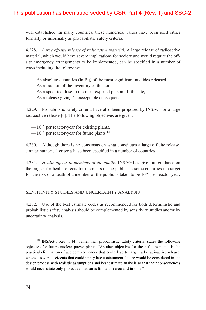well established. In many countries, these numerical values have been used either formally or informally as probabilistic safety criteria.

4.228. *Large off-site release of radioactive material:* A large release of radioactive material, which would have severe implications for society and would require the offsite emergency arrangements to be implemented, can be specified in a number of ways including the following:

- As absolute quantities (in Bq) of the most significant nuclides released,
- As a fraction of the inventory of the core,
- As a specified dose to the most exposed person off the site,
- As a release giving 'unacceptable consequences'.

4.229. Probabilistic safety criteria have also been proposed by INSAG for a large radioactive release [4]. The following objectives are given:

 $-10^{-5}$  per reactor-year for existing plants,  $-10^{-6}$  per reactor-year for future plants.<sup>18</sup>

4.230. Although there is no consensus on what constitutes a large off-site release, similar numerical criteria have been specified in a number of countries.

4.231. *Health effects to members of the public:* INSAG has given no guidance on the targets for health effects for members of the public. In some countries the target for the risk of a death of a member of the public is taken to be  $10^{-6}$  per reactor-year.

### SENSITIVITY STUDIES AND UNCERTAINTY ANALYSIS

4.232. Use of the best estimate codes as recommended for both deterministic and probabilistic safety analysis should be complemented by sensitivity studies and/or by uncertainty analysis.

<sup>18</sup> INSAG-3 Rev. 1 [4], rather than probabilistic safety criteria, states the following objective for future nuclear power plants: "Another objective for these future plants is the practical elimination of accident sequences that could lead to large early radioactive release, whereas severe accidents that could imply late containment failure would be considered in the design process with realistic assumptions and best estimate analysis so that their consequences would necessitate only protective measures limited in area and in time."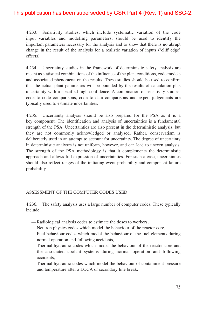4.233. Sensitivity studies, which include systematic variation of the code input variables and modelling parameters, should be used to identify the important parameters necessary for the analysis and to show that there is no abrupt change in the result of the analysis for a realistic variation of inputs ('cliff edge' effects).

4.234. Uncertainty studies in the framework of deterministic safety analysis are meant as statistical combinations of the influence of the plant conditions, code models and associated phenomena on the results. These studies should be used to confirm that the actual plant parameters will be bounded by the results of calculation plus uncertainty with a specified high confidence. A combination of sensitivity studies, code to code comparisons, code to data comparisons and expert judgements are typically used to estimate uncertainties.

4.235. Uncertainty analysis should be also prepared for the PSA as it is a key component. The identification and analysis of uncertainties is a fundamental strength of the PSA. Uncertainties are also present in the deterministic analysis, but they are not commonly acknowledged or analysed. Rather, conservatism is deliberately used in an attempt to account for uncertainty. The degree of uncertainty in deterministic analyses is not uniform, however, and can lead to uneven analysis. The strength of the PSA methodology is that it complements the deterministic approach and allows full expression of uncertainties. For such a case, uncertainties should also reflect ranges of the initiating event probability and component failure probability.

#### ASSESSMENT OF THE COMPUTER CODES USED

4.236. The safety analysis uses a large number of computer codes. These typically include:

- Radiological analysis codes to estimate the doses to workers,
- Neutron physics codes which model the behaviour of the reactor core,
- Fuel behaviour codes which model the behaviour of the fuel elements during normal operation and following accidents,
- Thermal-hydraulic codes which model the behaviour of the reactor core and the associated coolant systems during normal operation and following accidents,
- Thermal-hydraulic codes which model the behaviour of containment pressure and temperature after a LOCA or secondary line break,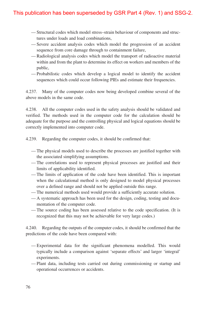- Structural codes which model stress–strain behaviour of components and structures under loads and load combinations,
- Severe accident analysis codes which model the progression of an accident sequence from core damage through to containment failure,
- Radiological analysis codes which model the transport of radioactive material within and from the plant to determine its effect on workers and members of the public,
- Probabilistic codes which develop a logical model to identify the accident sequences which could occur following PIEs and estimate their frequencies.

4.237. Many of the computer codes now being developed combine several of the above models in the same code.

4.238. All the computer codes used in the safety analysis should be validated and verified. The methods used in the computer code for the calculation should be adequate for the purpose and the controlling physical and logical equations should be correctly implemented into computer code.

4.239. Regarding the computer codes, it should be confirmed that:

- The physical models used to describe the processes are justified together with the associated simplifying assumptions.
- The correlations used to represent physical processes are justified and their limits of applicability identified.
- The limits of application of the code have been identified. This is important when the calculational method is only designed to model physical processes over a defined range and should not be applied outside this range.
- The numerical methods used would provide a sufficiently accurate solution.
- A systematic approach has been used for the design, coding, testing and documentation of the computer code.
- The source coding has been assessed relative to the code specification. (It is recognized that this may not be achievable for very large codes.)

4.240. Regarding the outputs of the computer codes, it should be confirmed that the predictions of the code have been compared with:

- Experimental data for the significant phenomena modelled. This would typically include a comparison against 'separate effects' and larger 'integral' experiments.
- Plant data, including tests carried out during commissioning or startup and operational occurrences or accidents.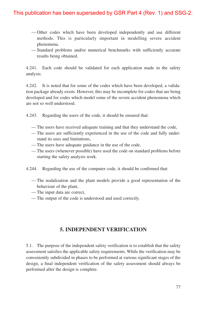- Other codes which have been developed independently and use different methods. This is particularly important in modelling severe accident phenomena.
- Standard problems and/or numerical benchmarks with sufficiently accurate results being obtained.

4.241. Each code should be validated for each application made in the safety analysis.

4.242. It is noted that for some of the codes which have been developed, a validation package already exists. However, this may be incomplete for codes that are being developed and for codes which model some of the severe accident phenomena which are not so well understood.

4.243. Regarding the users of the code, it should be ensured that:

- The users have received adequate training and that they understand the code,
- The users are sufficiently experienced in the use of the code and fully understand its uses and limitations,
- The users have adequate guidance in the use of the code,
- The users (whenever possible) have used the code on standard problems before starting the safety analysis work.
- 4.244. Regarding the use of the computer code, it should be confirmed that:
	- The nodalization and the plant models provide a good representation of the behaviour of the plant,
	- The input data are correct,
	- The output of the code is understood and used correctly.

## **5. INDEPENDENT VERIFICATION**

5.1. The purpose of the independent safety verification is to establish that the safety assessment satisfies the applicable safety requirements. While the verification may be conveniently subdivided in phases to be performed at various significant stages of the design, a final independent verification of the safety assessment should always be performed after the design is complete.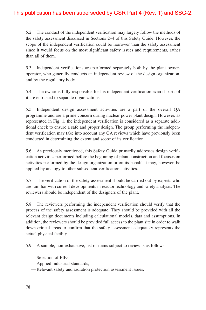5.2. The conduct of the independent verification may largely follow the methods of the safety assessment discussed in Sections 2–4 of this Safety Guide. However, the scope of the independent verification could be narrower than the safety assessment since it would focus on the most significant safety issues and requirements, rather than all of them.

5.3. Independent verifications are performed separately both by the plant owneroperator, who generally conducts an independent review of the design organization, and by the regulatory body.

5.4. The owner is fully responsible for his independent verification even if parts of it are entrusted to separate organizations.

5.5. Independent design assessment activities are a part of the overall QA programme and are a prime concern during nuclear power plant design. However, as represented in Fig. 1, the independent verification is considered as a separate additional check to ensure a safe and proper design. The group performing the independent verification may take into account any QA reviews which have previously been conducted in determining the extent and scope of its verification.

5.6. As previously mentioned, this Safety Guide primarily addresses design verification activities performed before the beginning of plant construction and focuses on activities performed by the design organization or on its behalf. It may, however, be applied by analogy to other subsequent verification activities.

5.7. The verification of the safety assessment should be carried out by experts who are familiar with current developments in reactor technology and safety analysis. The reviewers should be independent of the designers of the plant.

5.8. The reviewers performing the independent verification should verify that the process of the safety assessment is adequate. They should be provided with all the relevant design documents including calculational models, data and assumptions. In addition, the reviewers should be provided full access to the plant site in order to walk down critical areas to confirm that the safety assessment adequately represents the actual physical facility.

5.9. A sample, non-exhaustive, list of items subject to review is as follows:

- Selection of PIEs,
- Applied industrial standards,
- Relevant safety and radiation protection assessment issues,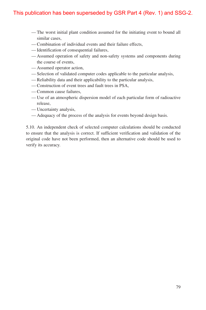- The worst initial plant condition assumed for the initiating event to bound all similar cases,
- Combination of individual events and their failure effects,
- Identification of consequential failures,
- Assumed operation of safety and non-safety systems and components during the course of events,
- Assumed operator action,
- Selection of validated computer codes applicable to the particular analysis,
- Reliability data and their applicability to the particular analysis,
- Construction of event trees and fault trees in PSA,
- Common cause failures,
- Use of an atmospheric dispersion model of each particular form of radioactive release,
- Uncertainty analysis,
- Adequacy of the process of the analysis for events beyond design basis.

5.10. An independent check of selected computer calculations should be conducted to ensure that the analysis is correct. If sufficient verification and validation of the original code have not been performed, then an alternative code should be used to verify its accuracy.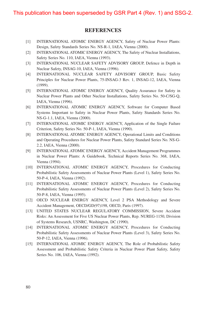### **REFERENCES**

- [1] INTERNATIONAL ATOMIC ENERGY AGENCY, Safety of Nuclear Power Plants: Design, Safety Standards Series No. NS-R-1, IAEA, Vienna (2000).
- [2] INTERNATIONAL ATOMIC ENERGY AGENCY, The Safety of Nuclear Installations, Safety Series No. 110, IAEA, Vienna (1993).
- [3] INTERNATIONAL NUCLEAR SAFETY ADVISORY GROUP, Defence in Depth in Nuclear Safety, INSAG-10, IAEA, Vienna (1996).
- [4] INTERNATIONAL NUCLEAR SAFETY ADVISORY GROUP, Basic Safety Principles for Nuclear Power Plants, 75-INSAG-3 Rev. 1, INSAG-12, IAEA, Vienna (1999).
- [5] INTERNATIONAL ATOMIC ENERGY AGENCY, Quality Assurance for Safety in Nuclear Power Plants and Other Nuclear Installations, Safety Series No. 50-C/SG-Q, IAEA, Vienna (1996).
- [6] INTERNATIONAL ATOMIC ENERGY AGENCY, Software for Computer Based Systems Important to Safety in Nuclear Power Plants, Safety Standards Series No. NS-G-1.1, IAEA, Vienna (2000).
- [7] INTERNATIONAL ATOMIC ENERGY AGENCY, Application of the Single Failure Criterion, Safety Series No. 50-P-1, IAEA, Vienna (1990).
- [8] INTERNATIONAL ATOMIC ENERGY AGENCY, Operational Limits and Conditions and Operating Procedures for Nuclear Power Plants, Safety Standard Series No. NS-G-2.2, IAEA, Vienna (2000).
- [9] INTERNATIONAL ATOMIC ENERGY AGENCY, Accident Management Programmes in Nuclear Power Plants: A Guidebook, Technical Reports Series No. 368, IAEA, Vienna (1994).
- [10] INTERNATIONAL ATOMIC ENERGY AGENCY, Procedures for Conducting Probabilistic Safety Assessments of Nuclear Power Plants (Level 1), Safety Series No. 50-P-4, IAEA, Vienna (1992).
- [11] INTERNATIONAL ATOMIC ENERGY AGENCY, Procedures for Conducting Probabilistic Safety Assessments of Nuclear Power Plants (Level 2), Safety Series No. 50-P-8, IAEA, Vienna (1995).
- [12] OECD NUCLEAR ENERGY AGENCY, Level 2 PSA Methodology and Severe Accident Management, OECD/GD(97)198, OECD, Paris (1997).
- [13] UNITED STATES NUCLEAR REGULATORY COMMISSION, Severe Accident Risks: An Assessment for Five US Nuclear Power Plants, Rep. NUREG-1150, Division of Systems Research, USNRC, Washington, DC (1990).
- [14] INTERNATIONAL ATOMIC ENERGY AGENCY, Procedures for Conducting Probabilistic Safety Assessments of Nuclear Power Plants (Level 3), Safety Series No. 50-P-12, IAEA, Vienna (1996).
- [15] INTERNATIONAL ATOMIC ENERGY AGENCY, The Role of Probabilistic Safety Assessment and Probabilistic Safety Criteria in Nuclear Power Plant Safety, Safety Series No. 106, IAEA, Vienna (1992).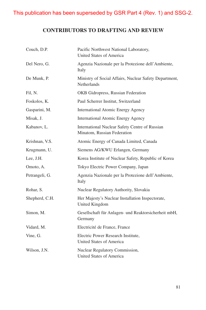# **CONTRIBUTORS TO DRAFTING AND REVIEW**

| Couch, D.P.    | Pacific Northwest National Laboratory,<br>United States of America            |
|----------------|-------------------------------------------------------------------------------|
| Del Nero, G.   | Agenzia Nazionale per la Protezione dell'Ambiente,<br>Italy                   |
| De Munk, P.    | Ministry of Social Affairs, Nuclear Safety Department,<br>Netherlands         |
| Fil, N.        | OKB Gidropress, Russian Federation                                            |
| Foskolos, K.   | Paul Scherrer Institut, Switzerland                                           |
| Gasparini, M.  | <b>International Atomic Energy Agency</b>                                     |
| Misak, J.      | <b>International Atomic Energy Agency</b>                                     |
| Kabanov, L.    | International Nuclear Safety Centre of Russian<br>Minatom, Russian Federation |
| Krishnan, V.S. | Atomic Energy of Canada Limited, Canada                                       |
| Krugmann, U.   | Siemens AG/KWU Erlangen, Germany                                              |
| Lee, J.H.      | Korea Institute of Nuclear Safety, Republic of Korea                          |
| Omoto, A.      | Tokyo Electric Power Company, Japan                                           |
| Petrangeli, G. | Agenzia Nazionale per la Protezione dell'Ambiente,<br>Italy                   |
| Rohar, S.      | Nuclear Regulatory Authority, Slovakia                                        |
| Shepherd, C.H. | Her Majesty's Nuclear Installation Inspectorate,<br>United Kingdom            |
| Simon, M.      | Gesellschaft für Anlagen- und Reaktorsicherheit mbH,<br>Germany               |
| Vidard, M.     | Electricité de France, France                                                 |
| Vine, G.       | Electric Power Research Institute,<br>United States of America                |
| Wilson, J.N.   | Nuclear Regulatory Commission,<br>United States of America                    |